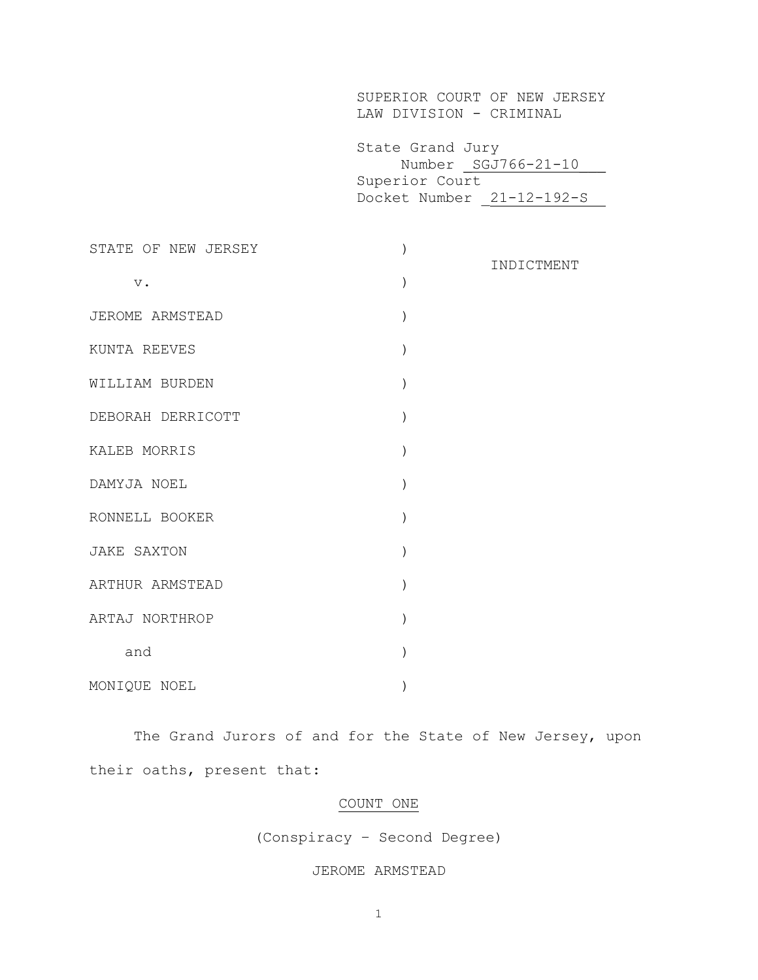|                     | SUPERIOR COURT OF NEW JERSEY<br>LAW DIVISION - CRIMINAL         |                     |
|---------------------|-----------------------------------------------------------------|---------------------|
|                     | State Grand Jury<br>Superior Court<br>Docket Number 21-12-192-S | Number SGJ766-21-10 |
| STATE OF NEW JERSEY | $\left( \right)$                                                | INDICTMENT          |
| $\mathbf v$ .       | $\mathcal{C}$                                                   |                     |
| JEROME ARMSTEAD     | $\mathcal{C}$                                                   |                     |
| KUNTA REEVES        | $\mathcal{C}$                                                   |                     |
| WILLIAM BURDEN      | $\mathcal{C}$                                                   |                     |
| DEBORAH DERRICOTT   | $\mathcal{C}$                                                   |                     |
| KALEB MORRIS        | $\mathcal{C}$                                                   |                     |
| DAMYJA NOEL         | $\mathcal{L}$                                                   |                     |
| RONNELL BOOKER      | $\mathcal{C}$                                                   |                     |
| <b>JAKE SAXTON</b>  | $\lambda$                                                       |                     |
| ARTHUR ARMSTEAD     | $\mathcal{C}$                                                   |                     |
| ARTAJ NORTHROP      | $\mathcal{C}$                                                   |                     |
| and                 | $\lambda$                                                       |                     |
| MONIQUE NOEL        | $\left( \right)$                                                |                     |

The Grand Jurors of and for the State of New Jersey, upon their oaths, present that:

# COUNT ONE

(Conspiracy – Second Degree)

# JEROME ARMSTEAD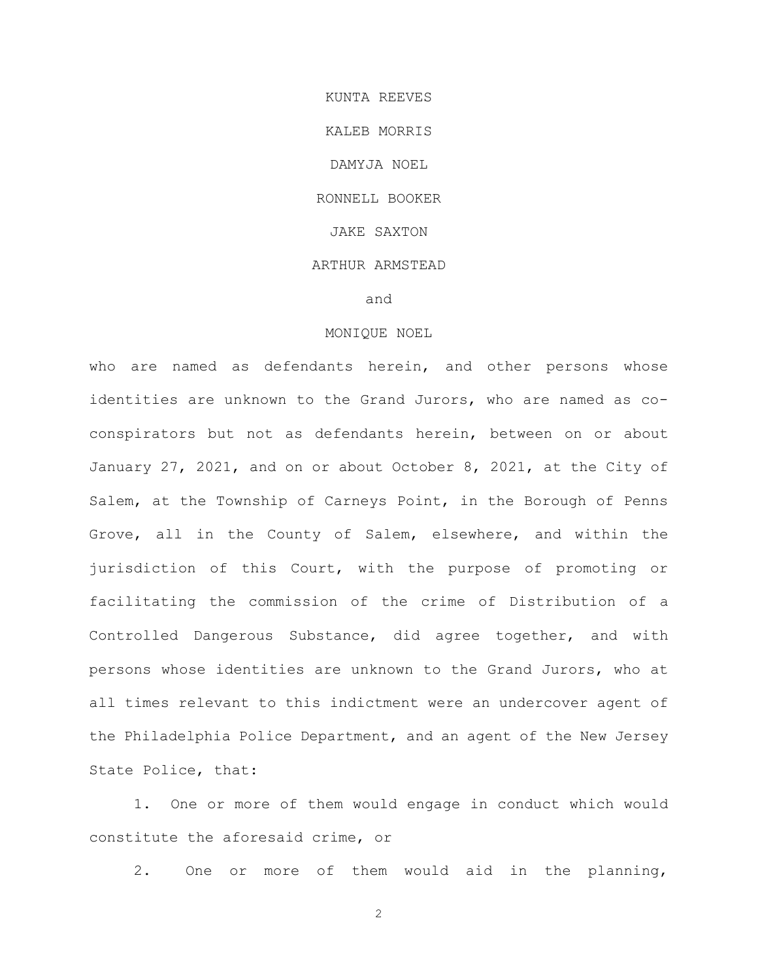KUNTA REEVES KALEB MORRIS DAMYJA NOEL RONNELL BOOKER JAKE SAXTON ARTHUR ARMSTEAD and

### MONIQUE NOEL

who are named as defendants herein, and other persons whose identities are unknown to the Grand Jurors, who are named as coconspirators but not as defendants herein, between on or about January 27, 2021, and on or about October 8, 2021, at the City of Salem, at the Township of Carneys Point, in the Borough of Penns Grove, all in the County of Salem, elsewhere, and within the jurisdiction of this Court, with the purpose of promoting or facilitating the commission of the crime of Distribution of a Controlled Dangerous Substance, did agree together, and with persons whose identities are unknown to the Grand Jurors, who at all times relevant to this indictment were an undercover agent of the Philadelphia Police Department, and an agent of the New Jersey State Police, that:

1. One or more of them would engage in conduct which would constitute the aforesaid crime, or

2. One or more of them would aid in the planning,

2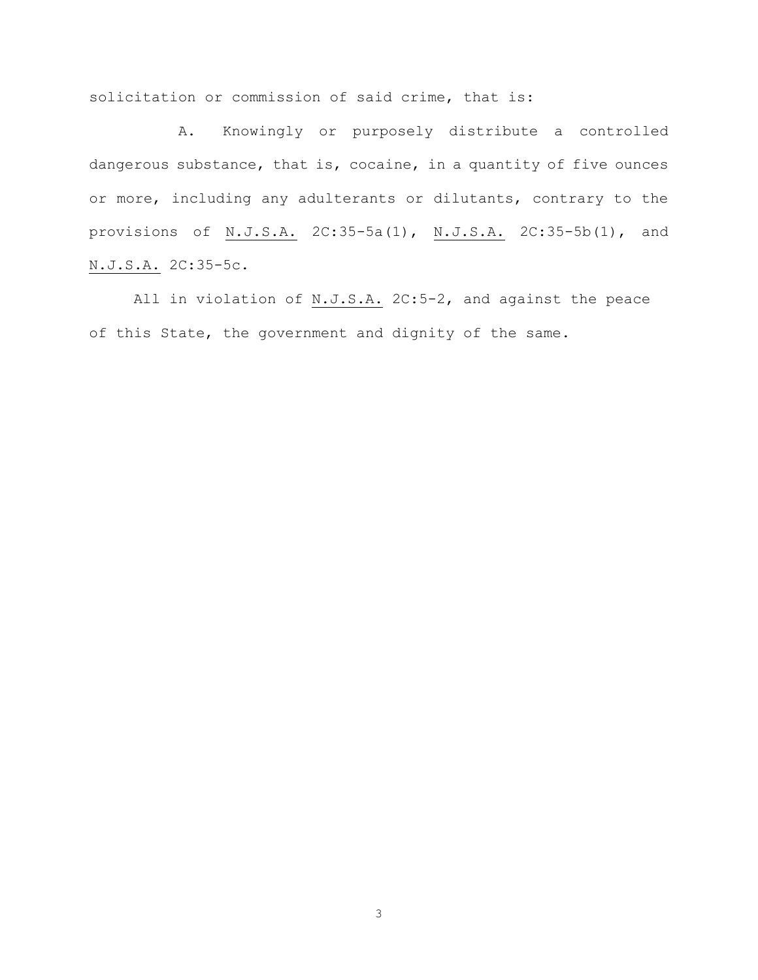solicitation or commission of said crime, that is:

A. Knowingly or purposely distribute a controlled dangerous substance, that is, cocaine, in a quantity of five ounces or more, including any adulterants or dilutants, contrary to the provisions of N.J.S.A. 2C:35-5a(1), N.J.S.A. 2C:35-5b(1), and N.J.S.A. 2C:35-5c.

All in violation of N.J.S.A. 2C:5-2, and against the peace of this State, the government and dignity of the same.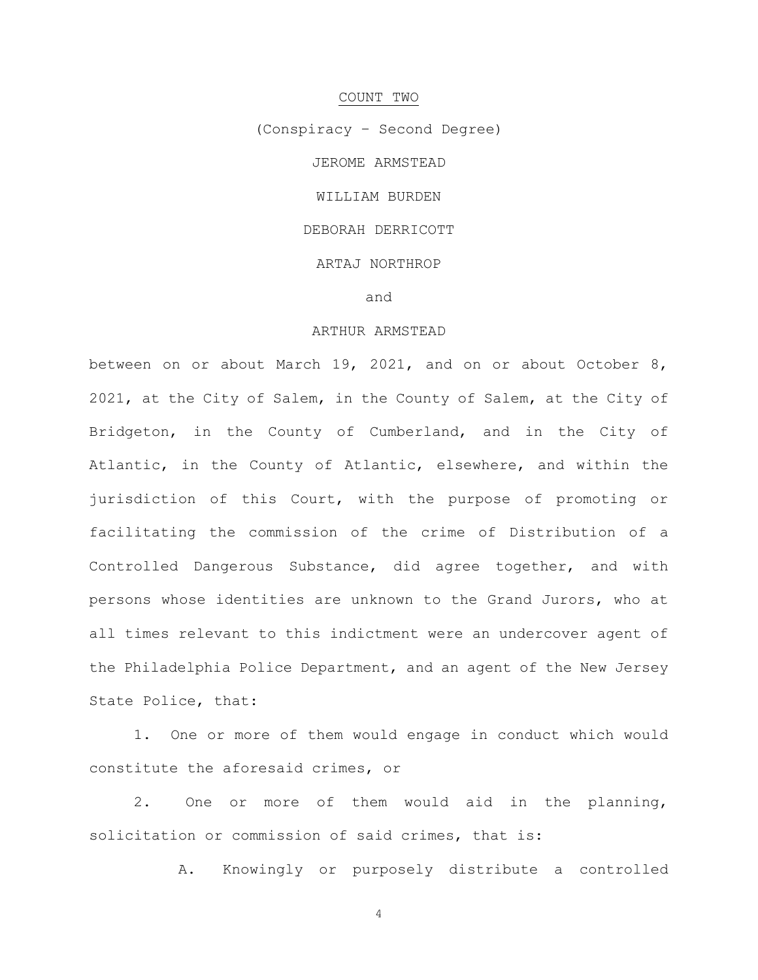# COUNT TWO

(Conspiracy – Second Degree) JEROME ARMSTEAD WILLIAM BURDEN DEBORAH DERRICOTT ARTAJ NORTHROP and

#### ARTHUR ARMSTEAD

between on or about March 19, 2021, and on or about October 8, 2021, at the City of Salem, in the County of Salem, at the City of Bridgeton, in the County of Cumberland, and in the City of Atlantic, in the County of Atlantic, elsewhere, and within the jurisdiction of this Court, with the purpose of promoting or facilitating the commission of the crime of Distribution of a Controlled Dangerous Substance, did agree together, and with persons whose identities are unknown to the Grand Jurors, who at all times relevant to this indictment were an undercover agent of the Philadelphia Police Department, and an agent of the New Jersey State Police, that:

1. One or more of them would engage in conduct which would constitute the aforesaid crimes, or

2. One or more of them would aid in the planning, solicitation or commission of said crimes, that is:

A. Knowingly or purposely distribute a controlled

4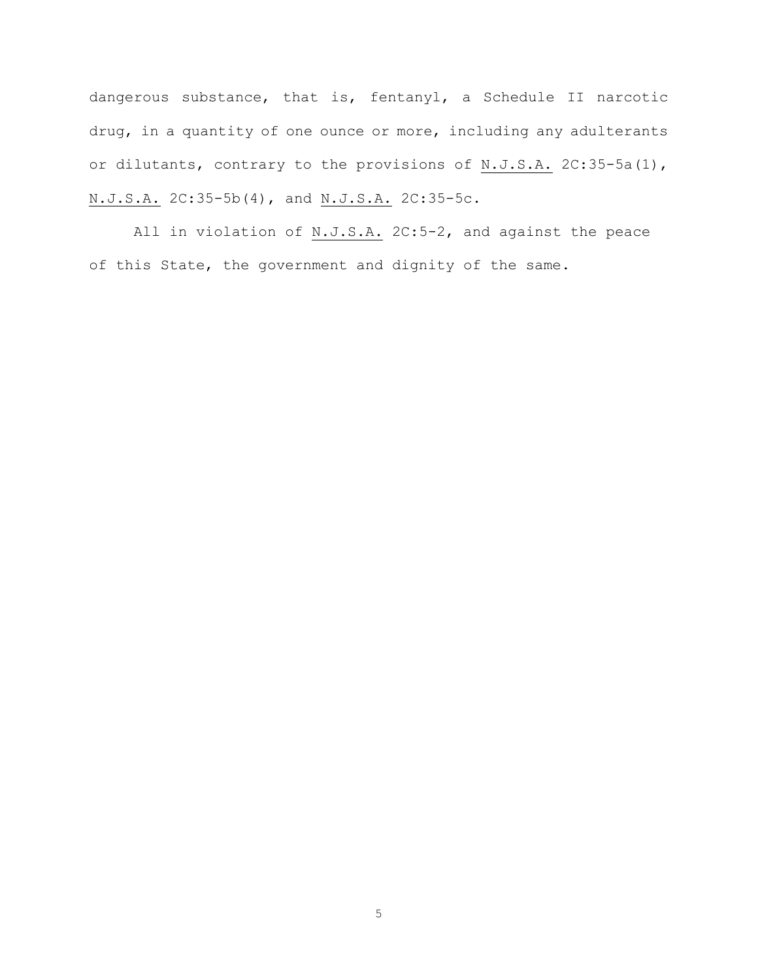dangerous substance, that is, fentanyl, a Schedule II narcotic drug, in a quantity of one ounce or more, including any adulterants or dilutants, contrary to the provisions of N.J.S.A. 2C:35-5a(1), N.J.S.A. 2C:35-5b(4), and N.J.S.A. 2C:35-5c.

All in violation of N.J.S.A. 2C:5-2, and against the peace of this State, the government and dignity of the same.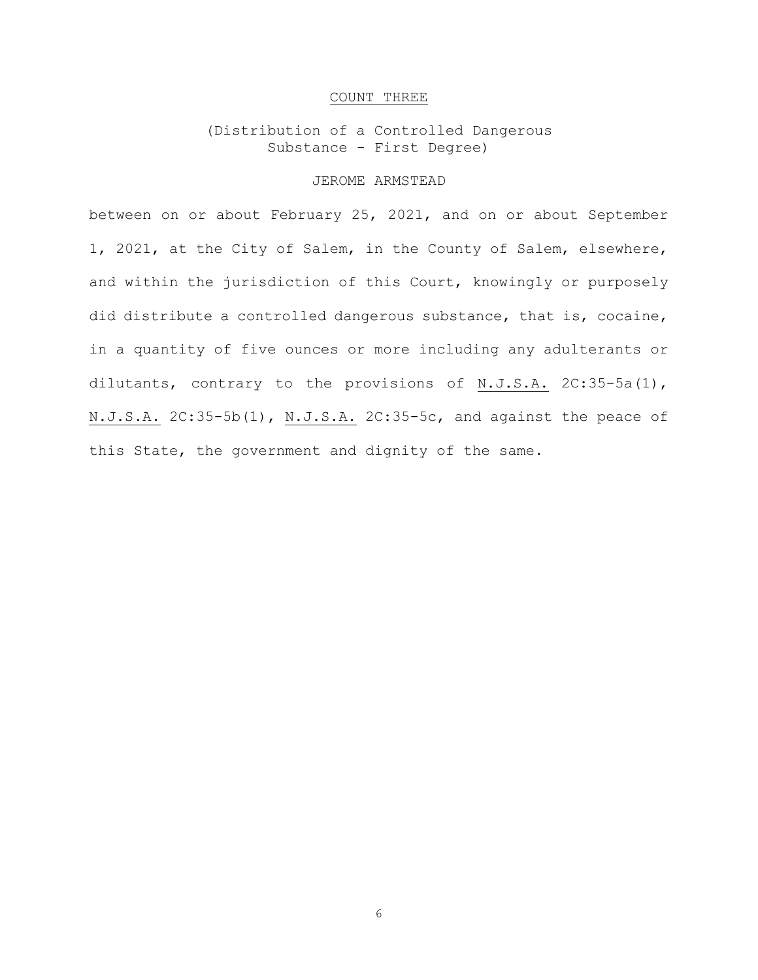### COUNT THREE

(Distribution of a Controlled Dangerous Substance - First Degree)

# JEROME ARMSTEAD

between on or about February 25, 2021, and on or about September 1, 2021, at the City of Salem, in the County of Salem, elsewhere, and within the jurisdiction of this Court, knowingly or purposely did distribute a controlled dangerous substance, that is, cocaine, in a quantity of five ounces or more including any adulterants or dilutants, contrary to the provisions of N.J.S.A. 2C:35-5a(1), N.J.S.A. 2C:35-5b(1), N.J.S.A. 2C:35-5c, and against the peace of this State, the government and dignity of the same.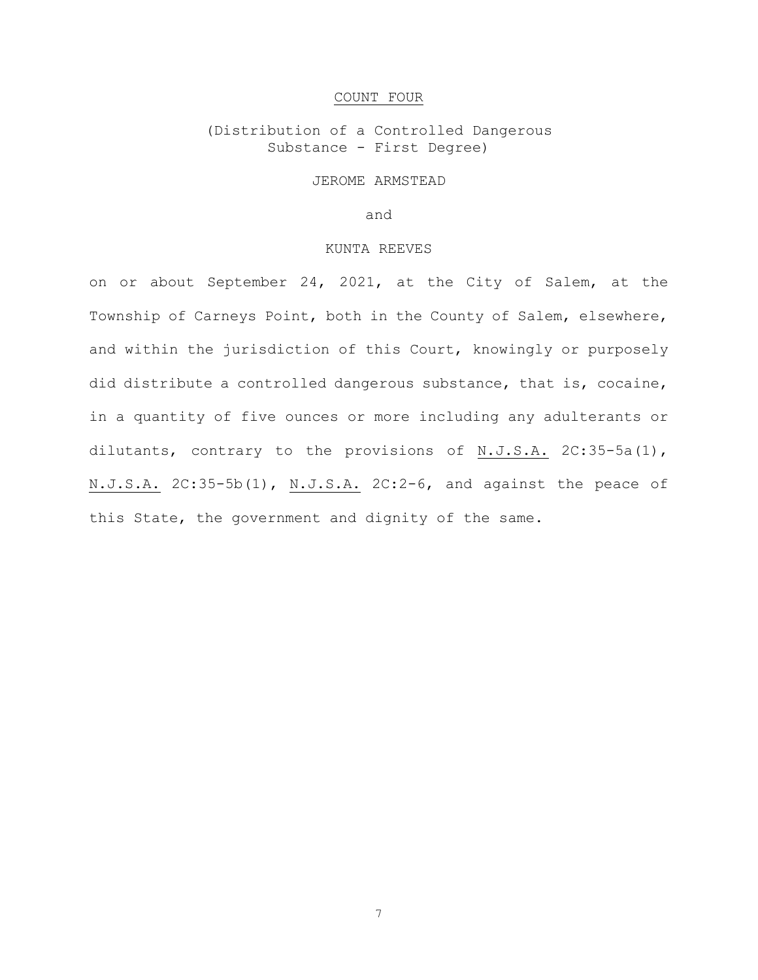# COUNT FOUR

(Distribution of a Controlled Dangerous Substance - First Degree)

JEROME ARMSTEAD

and

#### KUNTA REEVES

on or about September 24, 2021, at the City of Salem, at the Township of Carneys Point, both in the County of Salem, elsewhere, and within the jurisdiction of this Court, knowingly or purposely did distribute a controlled dangerous substance, that is, cocaine, in a quantity of five ounces or more including any adulterants or dilutants, contrary to the provisions of N.J.S.A. 2C:35-5a(1), N.J.S.A. 2C:35-5b(1), N.J.S.A. 2C:2-6, and against the peace of this State, the government and dignity of the same.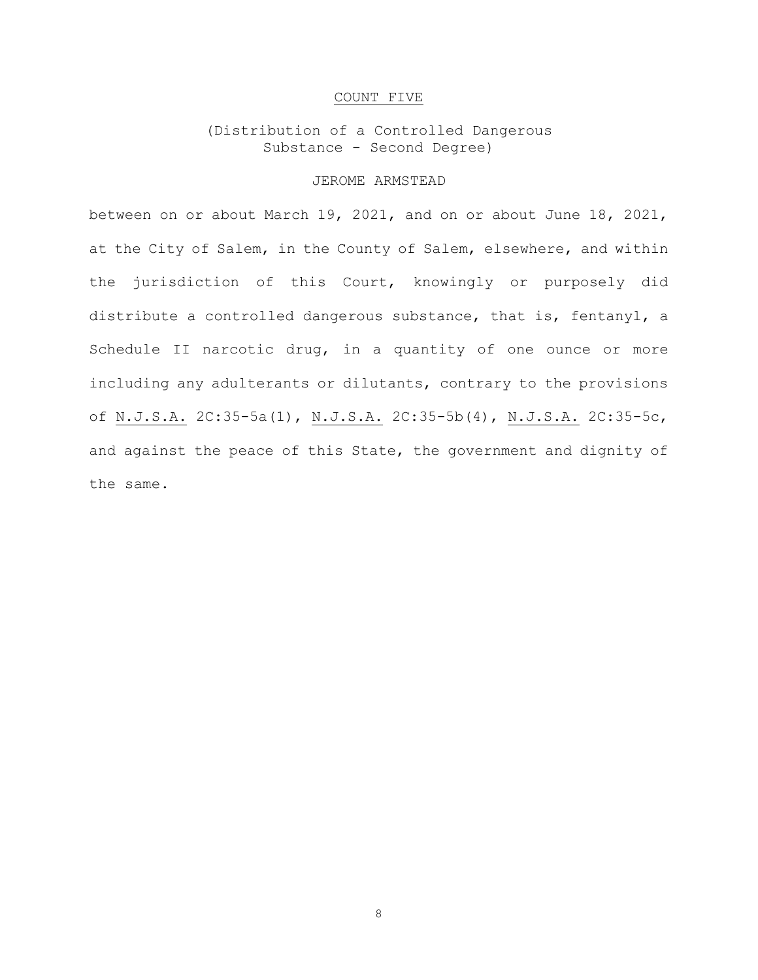# COUNT FIVE

# (Distribution of a Controlled Dangerous Substance - Second Degree)

# JEROME ARMSTEAD

between on or about March 19, 2021, and on or about June 18, 2021, at the City of Salem, in the County of Salem, elsewhere, and within the jurisdiction of this Court, knowingly or purposely did distribute a controlled dangerous substance, that is, fentanyl, a Schedule II narcotic drug, in a quantity of one ounce or more including any adulterants or dilutants, contrary to the provisions of N.J.S.A. 2C:35-5a(1), N.J.S.A. 2C:35-5b(4), N.J.S.A. 2C:35-5c, and against the peace of this State, the government and dignity of the same.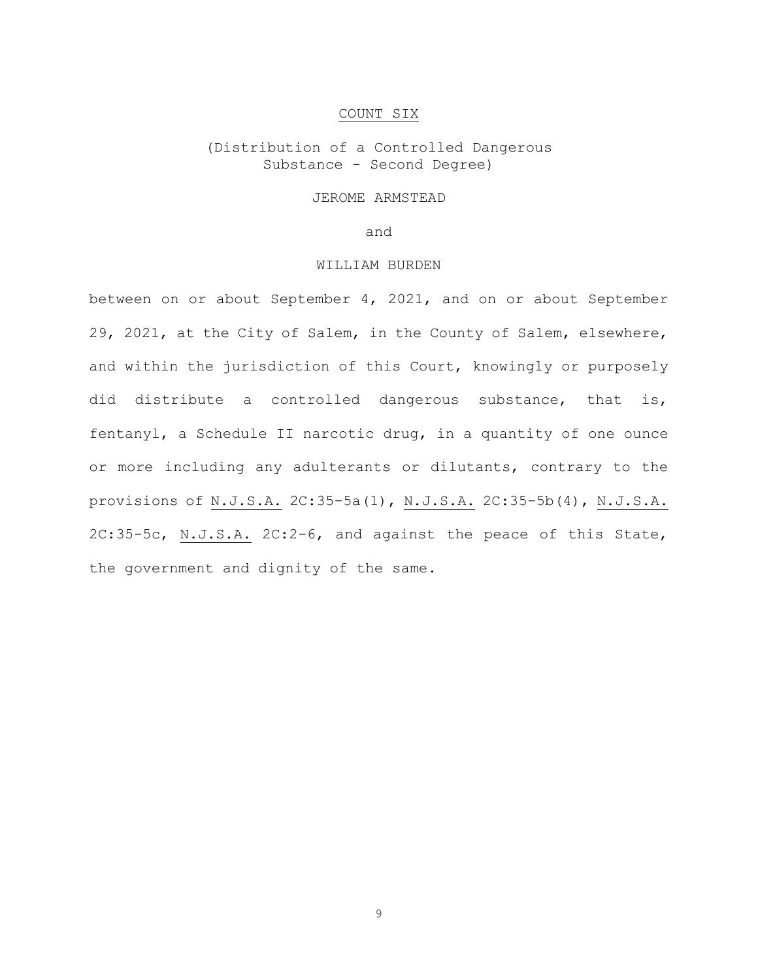#### COUNT SIX

(Distribution of a Controlled Dangerous Substance - Second Degree)

# JEROME ARMSTEAD

and

# WILLIAM BURDEN

between on or about September 4, 2021, and on or about September 29, 2021, at the City of Salem, in the County of Salem, elsewhere, and within the jurisdiction of this Court, knowingly or purposely did distribute a controlled dangerous substance, that is, fentanyl, a Schedule II narcotic drug, in a quantity of one ounce or more including any adulterants or dilutants, contrary to the provisions of N.J.S.A. 2C:35-5a(1), N.J.S.A. 2C:35-5b(4), N.J.S.A. 2C:35-5c, N.J.S.A. 2C:2-6, and against the peace of this State, the government and dignity of the same.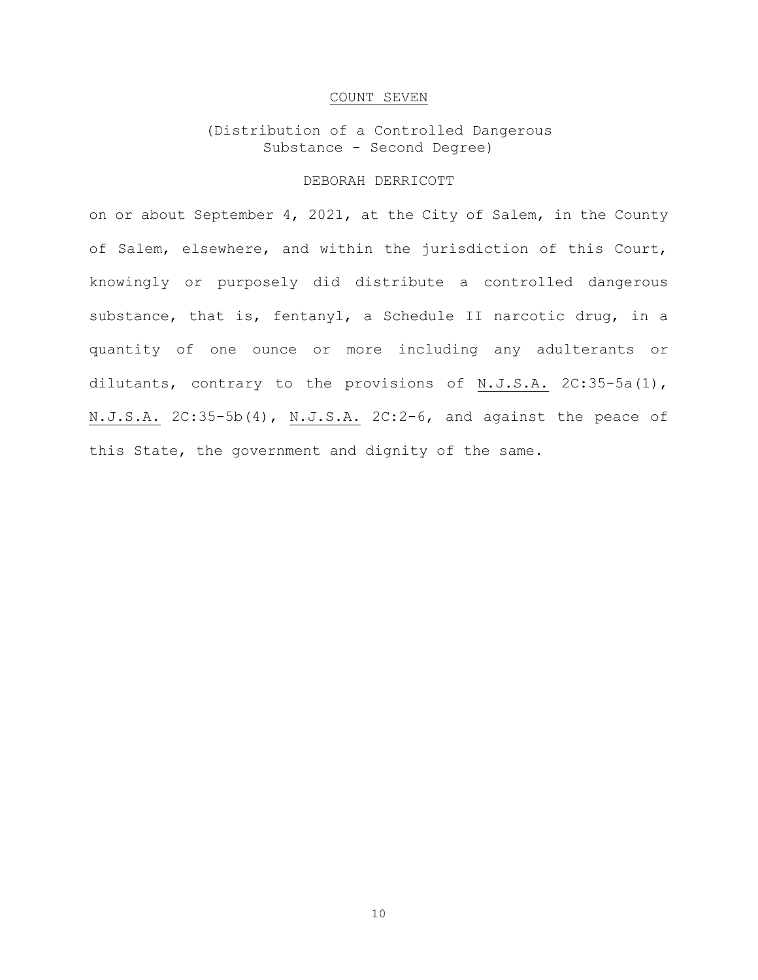### COUNT SEVEN

# (Distribution of a Controlled Dangerous Substance - Second Degree)

# DEBORAH DERRICOTT

on or about September 4, 2021, at the City of Salem, in the County of Salem, elsewhere, and within the jurisdiction of this Court, knowingly or purposely did distribute a controlled dangerous substance, that is, fentanyl, a Schedule II narcotic drug, in a quantity of one ounce or more including any adulterants or dilutants, contrary to the provisions of N.J.S.A. 2C:35-5a(1), N.J.S.A. 2C:35-5b(4), N.J.S.A. 2C:2-6, and against the peace of this State, the government and dignity of the same.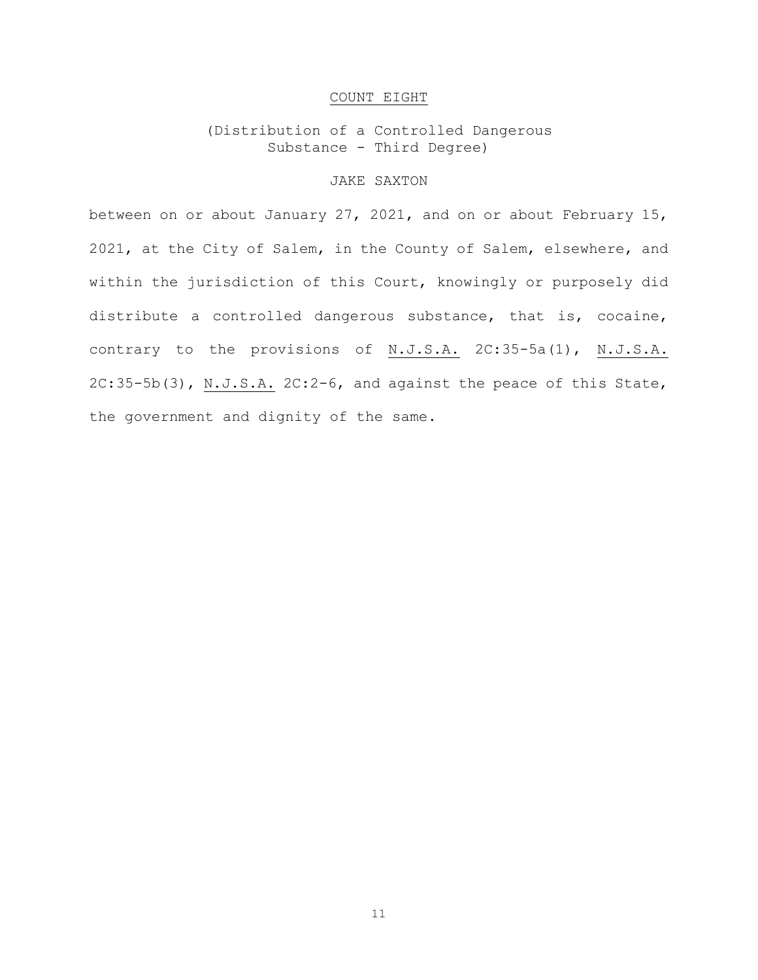# COUNT EIGHT

(Distribution of a Controlled Dangerous Substance - Third Degree)

# JAKE SAXTON

between on or about January 27, 2021, and on or about February 15, 2021, at the City of Salem, in the County of Salem, elsewhere, and within the jurisdiction of this Court, knowingly or purposely did distribute a controlled dangerous substance, that is, cocaine, contrary to the provisions of N.J.S.A. 2C:35-5a(1), N.J.S.A. 2C:35-5b(3), N.J.S.A. 2C:2-6, and against the peace of this State, the government and dignity of the same.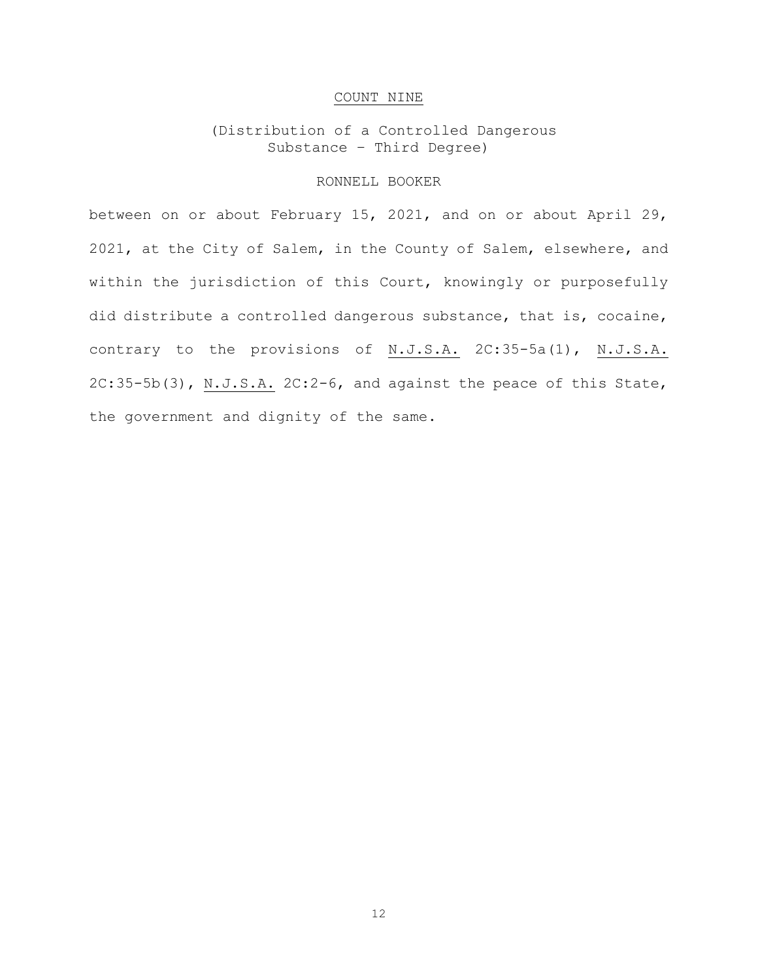# COUNT NINE

# (Distribution of a Controlled Dangerous Substance – Third Degree)

# RONNELL BOOKER

between on or about February 15, 2021, and on or about April 29, 2021, at the City of Salem, in the County of Salem, elsewhere, and within the jurisdiction of this Court, knowingly or purposefully did distribute a controlled dangerous substance, that is, cocaine, contrary to the provisions of N.J.S.A. 2C:35-5a(1), N.J.S.A. 2C:35-5b(3), N.J.S.A. 2C:2-6, and against the peace of this State, the government and dignity of the same.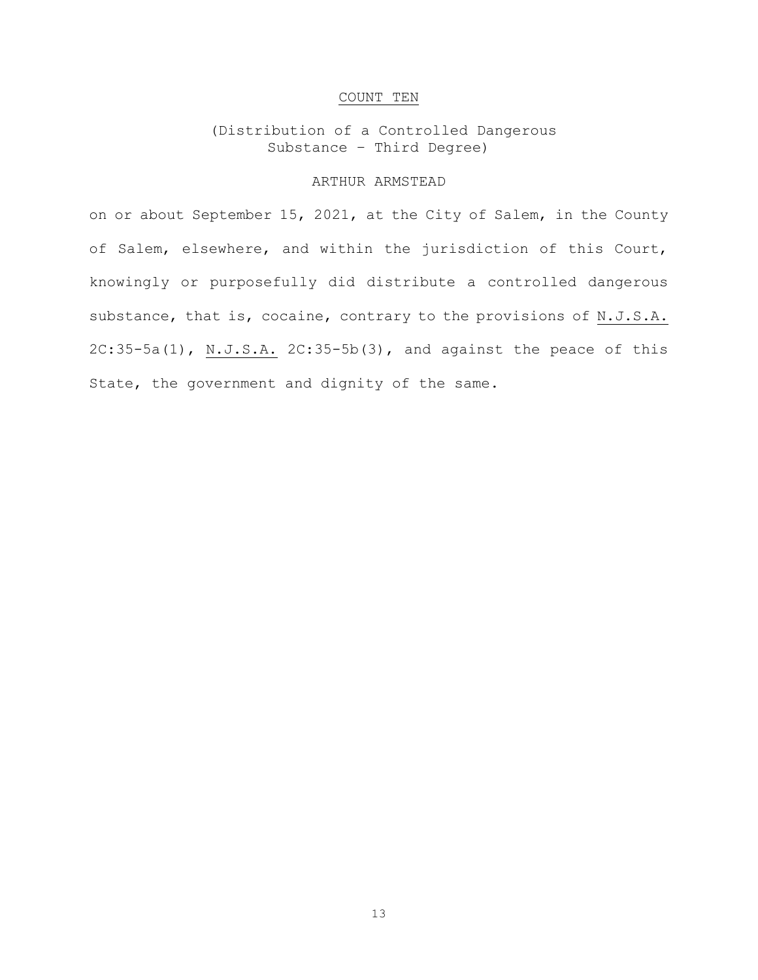# COUNT TEN

# (Distribution of a Controlled Dangerous Substance – Third Degree)

# ARTHUR ARMSTEAD

on or about September 15, 2021, at the City of Salem, in the County of Salem, elsewhere, and within the jurisdiction of this Court, knowingly or purposefully did distribute a controlled dangerous substance, that is, cocaine, contrary to the provisions of N.J.S.A. 2C:35-5a(1), N.J.S.A. 2C:35-5b(3), and against the peace of this State, the government and dignity of the same.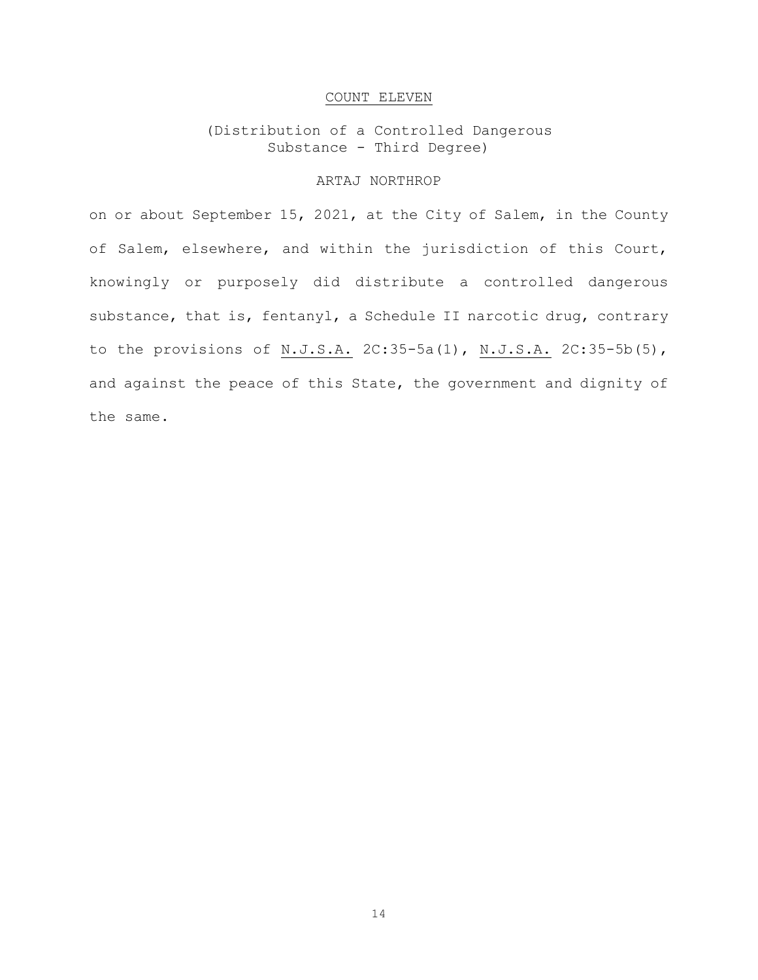# COUNT ELEVEN

(Distribution of a Controlled Dangerous Substance - Third Degree)

# ARTAJ NORTHROP

on or about September 15, 2021, at the City of Salem, in the County of Salem, elsewhere, and within the jurisdiction of this Court, knowingly or purposely did distribute a controlled dangerous substance, that is, fentanyl, a Schedule II narcotic drug, contrary to the provisions of N.J.S.A. 2C:35-5a(1), N.J.S.A. 2C:35-5b(5), and against the peace of this State, the government and dignity of the same.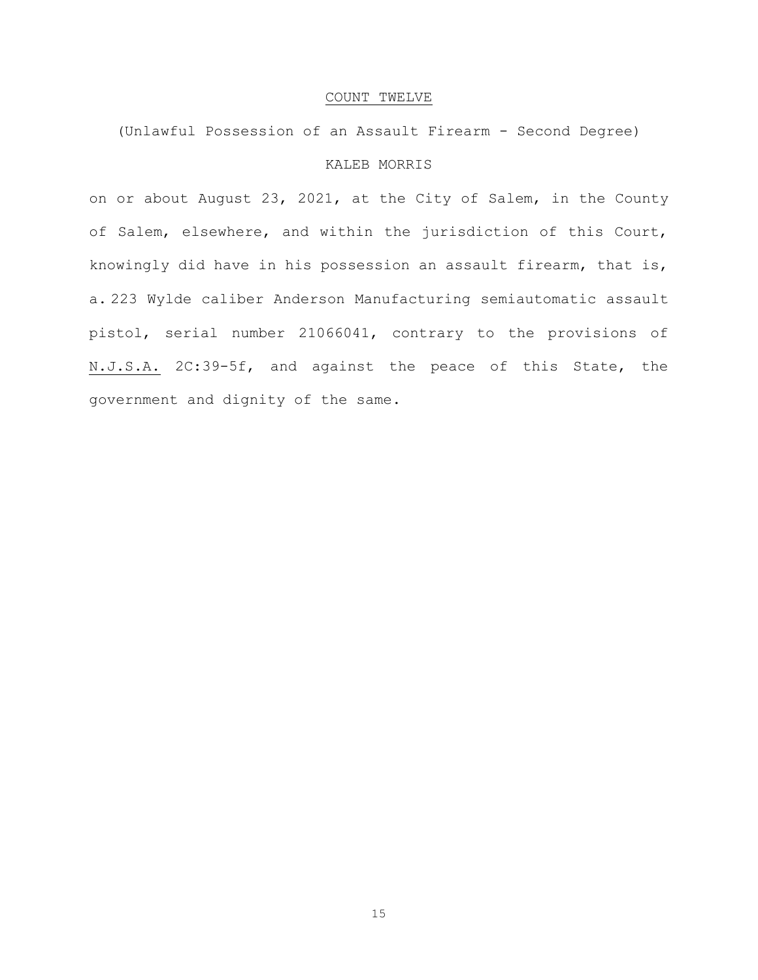#### COUNT TWELVE

(Unlawful Possession of an Assault Firearm - Second Degree)

# KALEB MORRIS

on or about August 23, 2021, at the City of Salem, in the County of Salem, elsewhere, and within the jurisdiction of this Court, knowingly did have in his possession an assault firearm, that is, a. 223 Wylde caliber Anderson Manufacturing semiautomatic assault pistol, serial number 21066041, contrary to the provisions of N.J.S.A. 2C:39-5f, and against the peace of this State, the government and dignity of the same.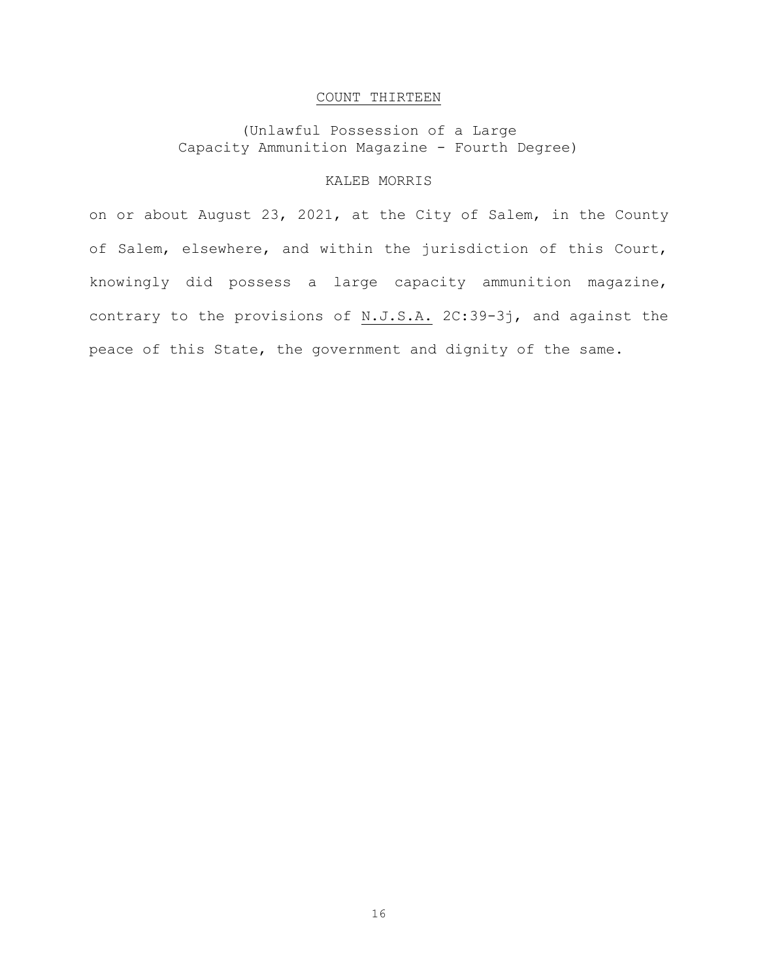# COUNT THIRTEEN

(Unlawful Possession of a Large Capacity Ammunition Magazine - Fourth Degree)

# KALEB MORRIS

on or about August 23, 2021, at the City of Salem, in the County of Salem, elsewhere, and within the jurisdiction of this Court, knowingly did possess a large capacity ammunition magazine, contrary to the provisions of N.J.S.A. 2C:39-3j, and against the peace of this State, the government and dignity of the same.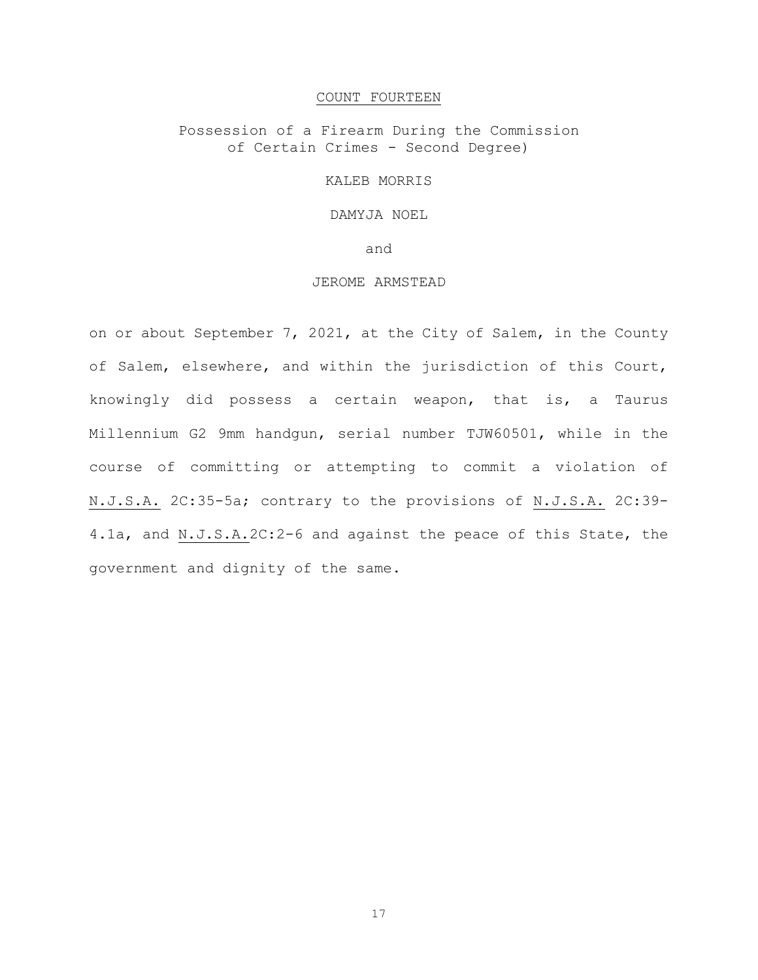#### COUNT FOURTEEN

Possession of a Firearm During the Commission of Certain Crimes - Second Degree)

KALEB MORRIS

DAMYJA NOEL

and

# JEROME ARMSTEAD

on or about September 7, 2021, at the City of Salem, in the County of Salem, elsewhere, and within the jurisdiction of this Court, knowingly did possess a certain weapon, that is, a Taurus Millennium G2 9mm handgun, serial number TJW60501, while in the course of committing or attempting to commit a violation of N.J.S.A. 2C:35-5a; contrary to the provisions of N.J.S.A. 2C:39- 4.1a, and N.J.S.A.2C:2-6 and against the peace of this State, the government and dignity of the same.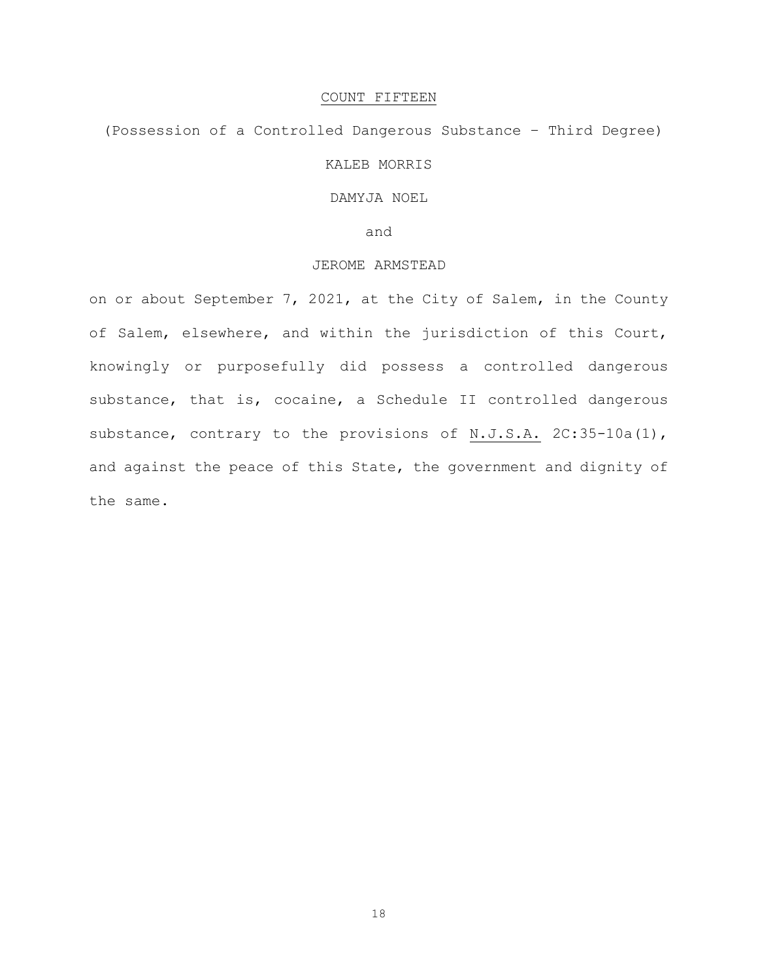# COUNT FIFTEEN

# (Possession of a Controlled Dangerous Substance – Third Degree) KALEB MORRIS

# DAMYJA NOEL

and

# JEROME ARMSTEAD

on or about September 7, 2021, at the City of Salem, in the County of Salem, elsewhere, and within the jurisdiction of this Court, knowingly or purposefully did possess a controlled dangerous substance, that is, cocaine, a Schedule II controlled dangerous substance, contrary to the provisions of N.J.S.A. 2C:35-10a(1), and against the peace of this State, the government and dignity of the same.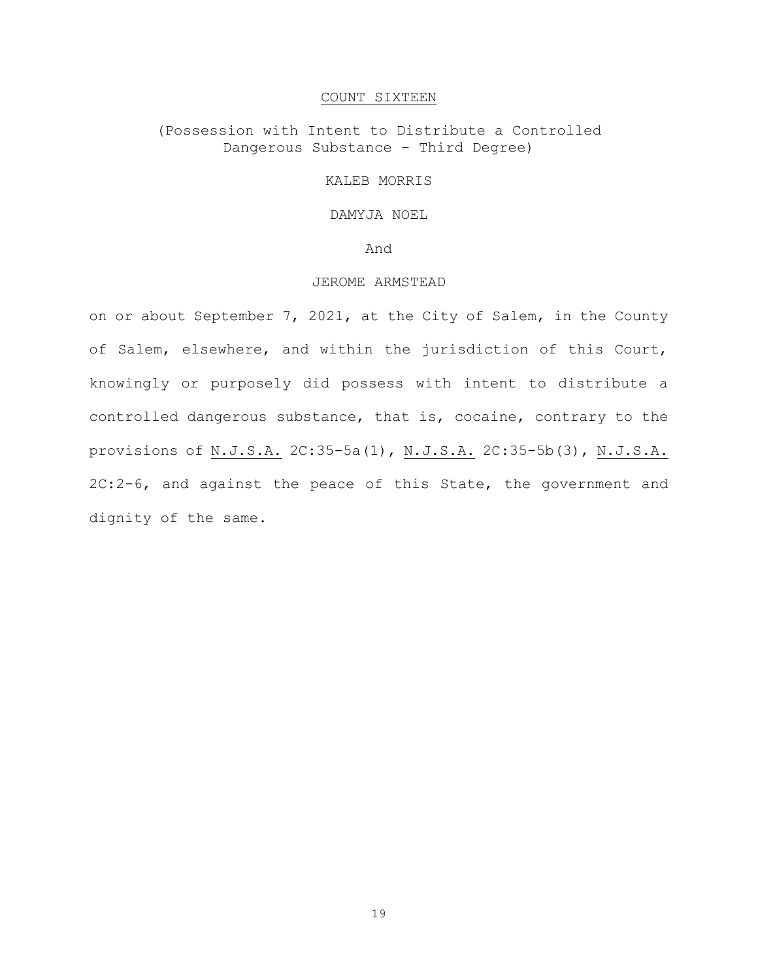# COUNT SIXTEEN

# (Possession with Intent to Distribute a Controlled Dangerous Substance – Third Degree)

# KALEB MORRIS

# DAMYJA NOEL

#### And

# JEROME ARMSTEAD

on or about September 7, 2021, at the City of Salem, in the County of Salem, elsewhere, and within the jurisdiction of this Court, knowingly or purposely did possess with intent to distribute a controlled dangerous substance, that is, cocaine, contrary to the provisions of N.J.S.A. 2C:35-5a(1), N.J.S.A. 2C:35-5b(3), N.J.S.A. 2C:2-6, and against the peace of this State, the government and dignity of the same.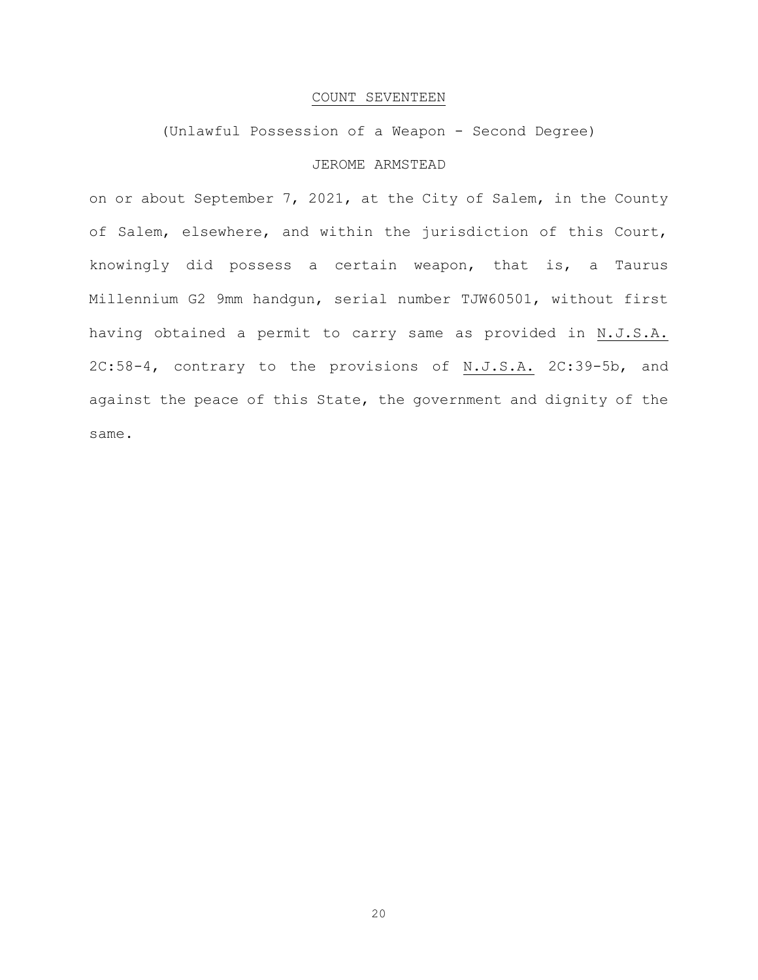#### COUNT SEVENTEEN

# (Unlawful Possession of a Weapon - Second Degree)

# JEROME ARMSTEAD

on or about September 7, 2021, at the City of Salem, in the County of Salem, elsewhere, and within the jurisdiction of this Court, knowingly did possess a certain weapon, that is, a Taurus Millennium G2 9mm handgun, serial number TJW60501, without first having obtained a permit to carry same as provided in N.J.S.A. 2C:58-4, contrary to the provisions of N.J.S.A. 2C:39-5b, and against the peace of this State, the government and dignity of the same.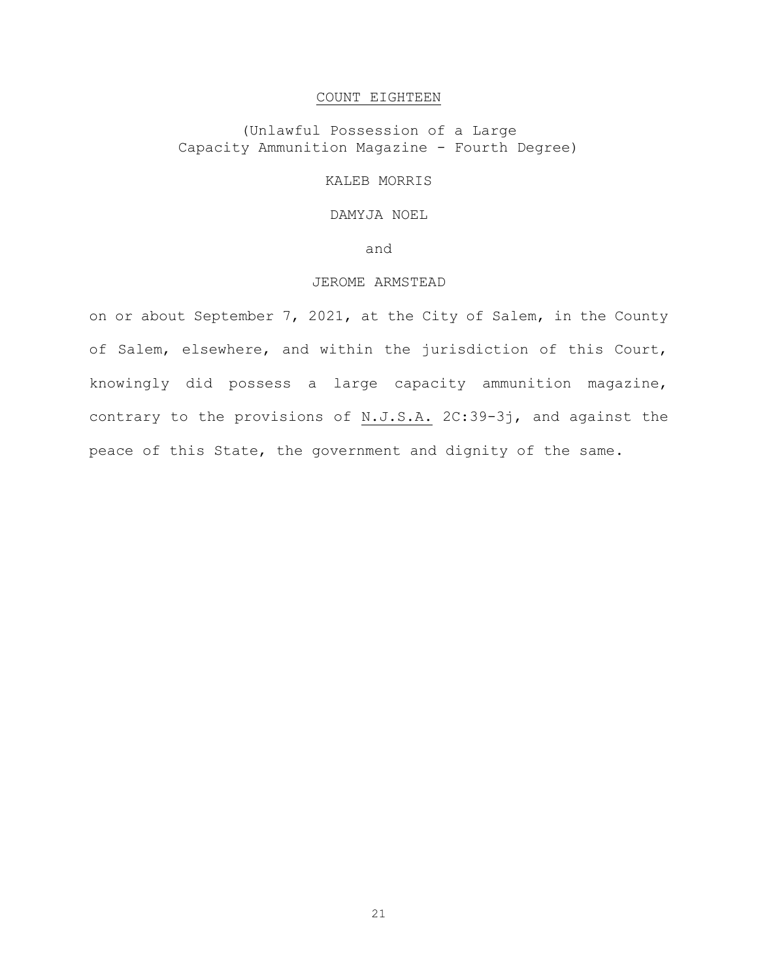# COUNT EIGHTEEN

(Unlawful Possession of a Large Capacity Ammunition Magazine - Fourth Degree)

KALEB MORRIS

# DAMYJA NOEL

and

# JEROME ARMSTEAD

on or about September 7, 2021, at the City of Salem, in the County of Salem, elsewhere, and within the jurisdiction of this Court, knowingly did possess a large capacity ammunition magazine, contrary to the provisions of N.J.S.A. 2C:39-3j, and against the peace of this State, the government and dignity of the same.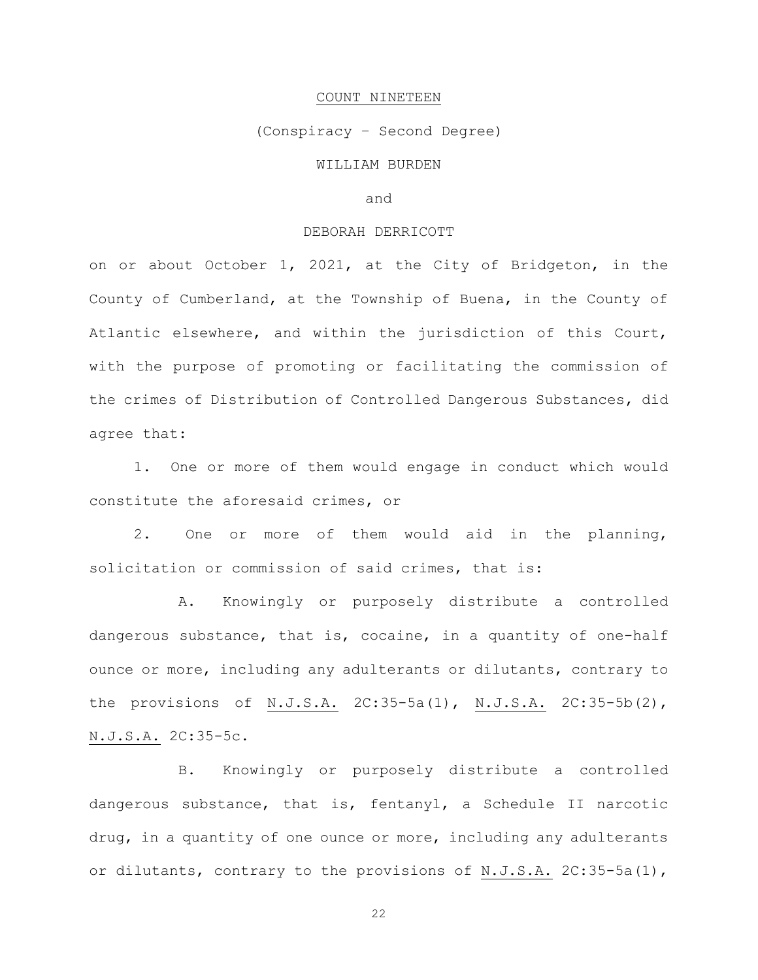#### COUNT NINETEEN

#### (Conspiracy – Second Degree)

# WILLIAM BURDEN

# and

# DEBORAH DERRICOTT

on or about October 1, 2021, at the City of Bridgeton, in the County of Cumberland, at the Township of Buena, in the County of Atlantic elsewhere, and within the jurisdiction of this Court, with the purpose of promoting or facilitating the commission of the crimes of Distribution of Controlled Dangerous Substances, did agree that:

1. One or more of them would engage in conduct which would constitute the aforesaid crimes, or

2. One or more of them would aid in the planning, solicitation or commission of said crimes, that is:

A. Knowingly or purposely distribute a controlled dangerous substance, that is, cocaine, in a quantity of one-half ounce or more, including any adulterants or dilutants, contrary to the provisions of N.J.S.A. 2C:35-5a(1), N.J.S.A. 2C:35-5b(2), N.J.S.A. 2C:35-5c.

B. Knowingly or purposely distribute a controlled dangerous substance, that is, fentanyl, a Schedule II narcotic drug, in a quantity of one ounce or more, including any adulterants or dilutants, contrary to the provisions of N.J.S.A. 2C:35-5a(1),

22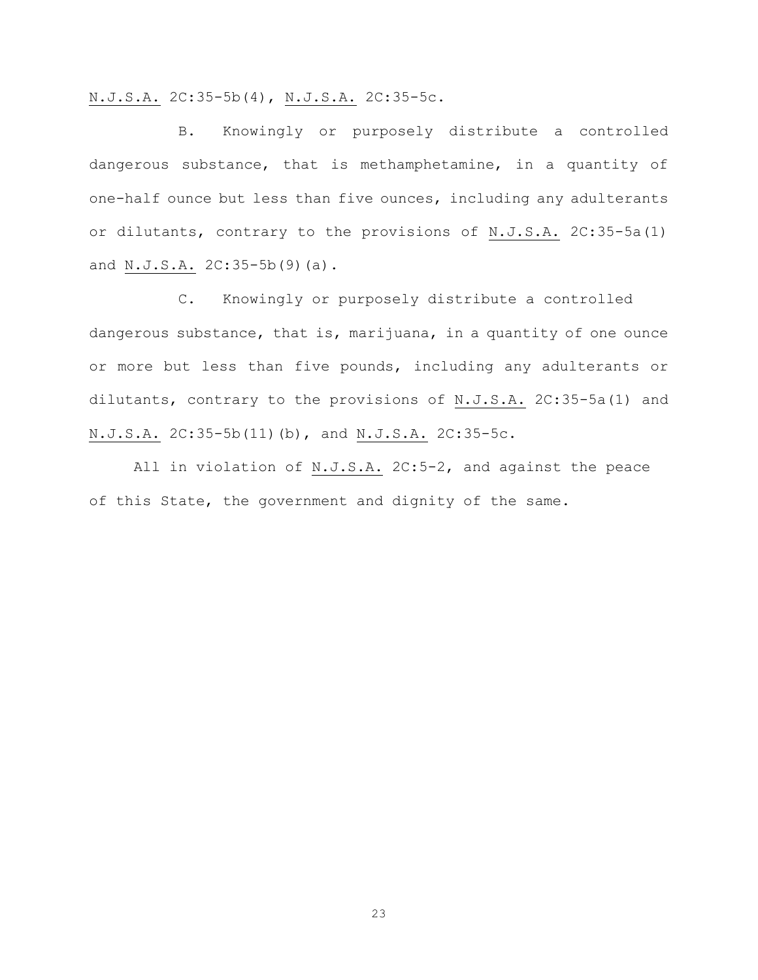N.J.S.A. 2C:35-5b(4), N.J.S.A. 2C:35-5c.

B. Knowingly or purposely distribute a controlled dangerous substance, that is methamphetamine, in a quantity of one-half ounce but less than five ounces, including any adulterants or dilutants, contrary to the provisions of N.J.S.A. 2C:35-5a(1) and N.J.S.A. 2C:35-5b(9)(a).

C. Knowingly or purposely distribute a controlled dangerous substance, that is, marijuana, in a quantity of one ounce or more but less than five pounds, including any adulterants or dilutants, contrary to the provisions of N.J.S.A. 2C:35-5a(1) and N.J.S.A. 2C:35-5b(11)(b), and N.J.S.A. 2C:35-5c.

All in violation of N.J.S.A. 2C:5-2, and against the peace of this State, the government and dignity of the same.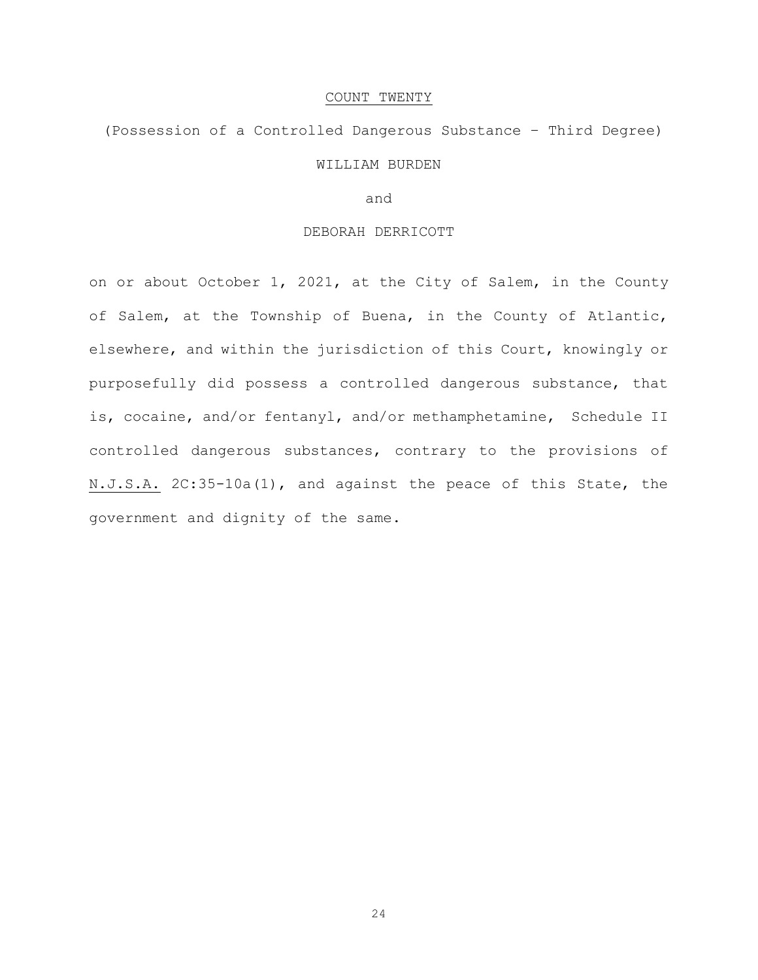#### COUNT TWENTY

# (Possession of a Controlled Dangerous Substance – Third Degree) WILLIAM BURDEN

### and

# DEBORAH DERRICOTT

on or about October 1, 2021, at the City of Salem, in the County of Salem, at the Township of Buena, in the County of Atlantic, elsewhere, and within the jurisdiction of this Court, knowingly or purposefully did possess a controlled dangerous substance, that is, cocaine, and/or fentanyl, and/or methamphetamine, Schedule II controlled dangerous substances, contrary to the provisions of N.J.S.A. 2C:35-10a(1), and against the peace of this State, the government and dignity of the same.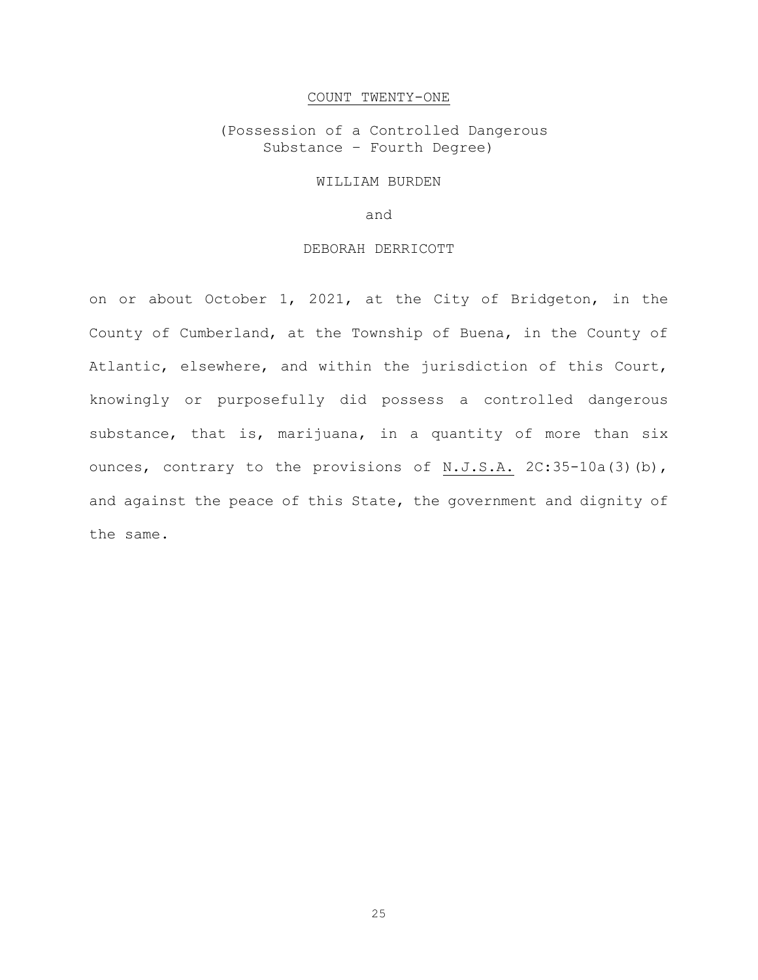#### COUNT TWENTY-ONE

(Possession of a Controlled Dangerous Substance – Fourth Degree)

#### WILLIAM BURDEN

and

# DEBORAH DERRICOTT

on or about October 1, 2021, at the City of Bridgeton, in the County of Cumberland, at the Township of Buena, in the County of Atlantic, elsewhere, and within the jurisdiction of this Court, knowingly or purposefully did possess a controlled dangerous substance, that is, marijuana, in a quantity of more than six ounces, contrary to the provisions of N.J.S.A. 2C:35-10a(3)(b), and against the peace of this State, the government and dignity of the same.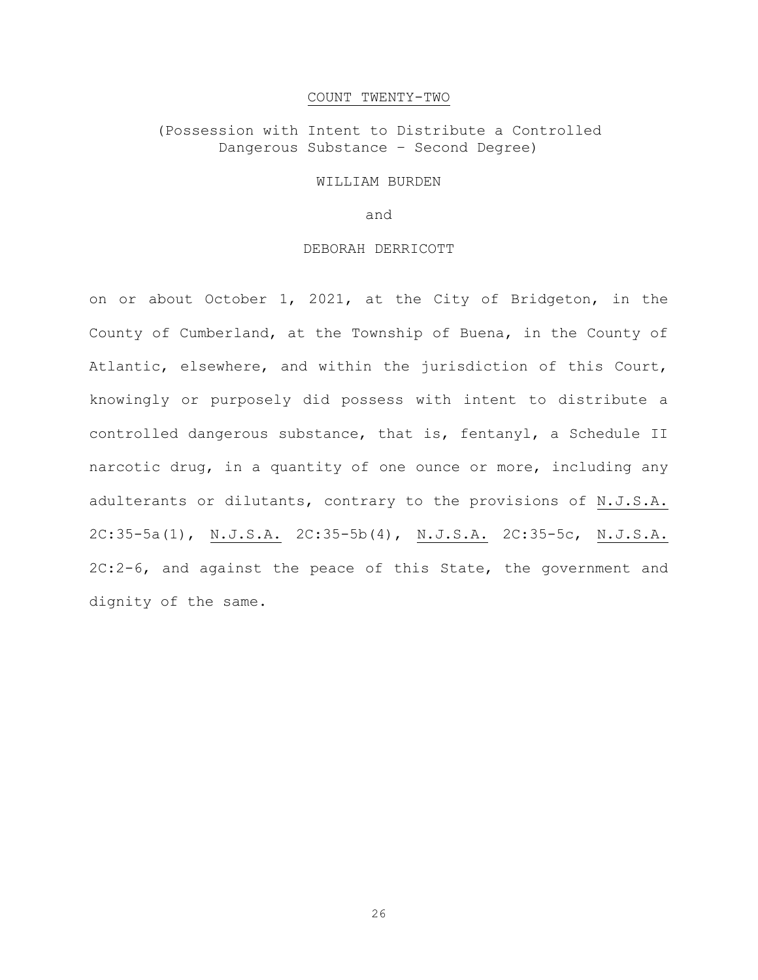#### COUNT TWENTY-TWO

(Possession with Intent to Distribute a Controlled Dangerous Substance – Second Degree)

#### WILLIAM BURDEN

and

# DEBORAH DERRICOTT

on or about October 1, 2021, at the City of Bridgeton, in the County of Cumberland, at the Township of Buena, in the County of Atlantic, elsewhere, and within the jurisdiction of this Court, knowingly or purposely did possess with intent to distribute a controlled dangerous substance, that is, fentanyl, a Schedule II narcotic drug, in a quantity of one ounce or more, including any adulterants or dilutants, contrary to the provisions of N.J.S.A. 2C:35-5a(1), N.J.S.A. 2C:35-5b(4), N.J.S.A. 2C:35-5c, N.J.S.A. 2C:2-6, and against the peace of this State, the government and dignity of the same.

26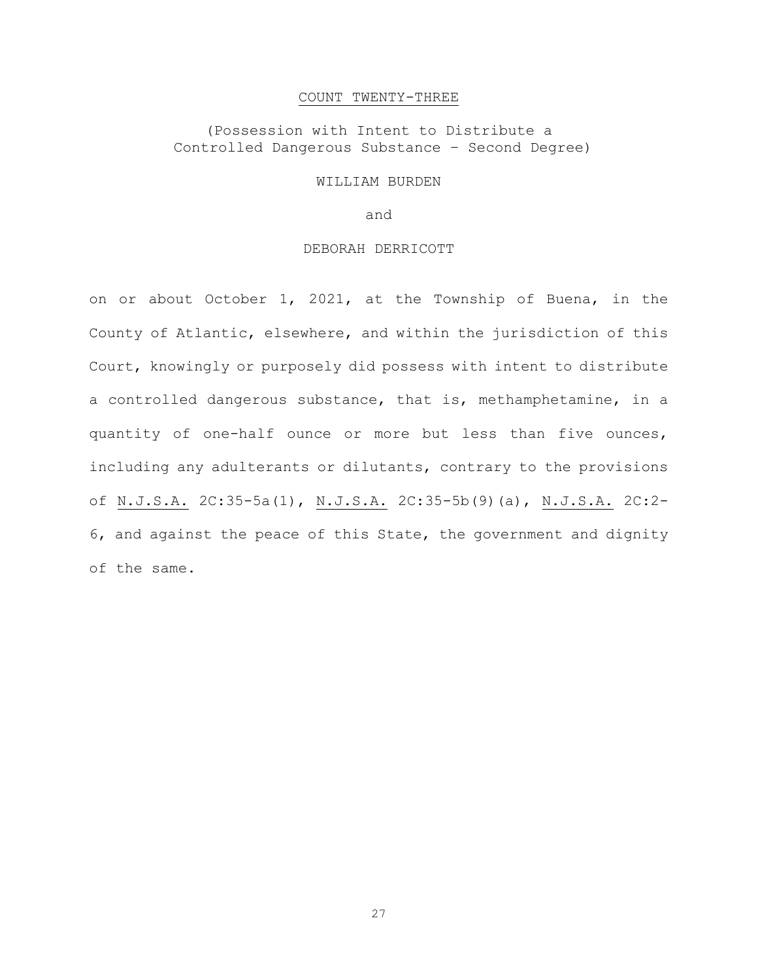#### COUNT TWENTY-THREE

# (Possession with Intent to Distribute a Controlled Dangerous Substance – Second Degree)

#### WILLIAM BURDEN

and

# DEBORAH DERRICOTT

on or about October 1, 2021, at the Township of Buena, in the County of Atlantic, elsewhere, and within the jurisdiction of this Court, knowingly or purposely did possess with intent to distribute a controlled dangerous substance, that is, methamphetamine, in a quantity of one-half ounce or more but less than five ounces, including any adulterants or dilutants, contrary to the provisions of N.J.S.A. 2C:35-5a(1), N.J.S.A. 2C:35-5b(9)(a), N.J.S.A. 2C:2- 6, and against the peace of this State, the government and dignity of the same.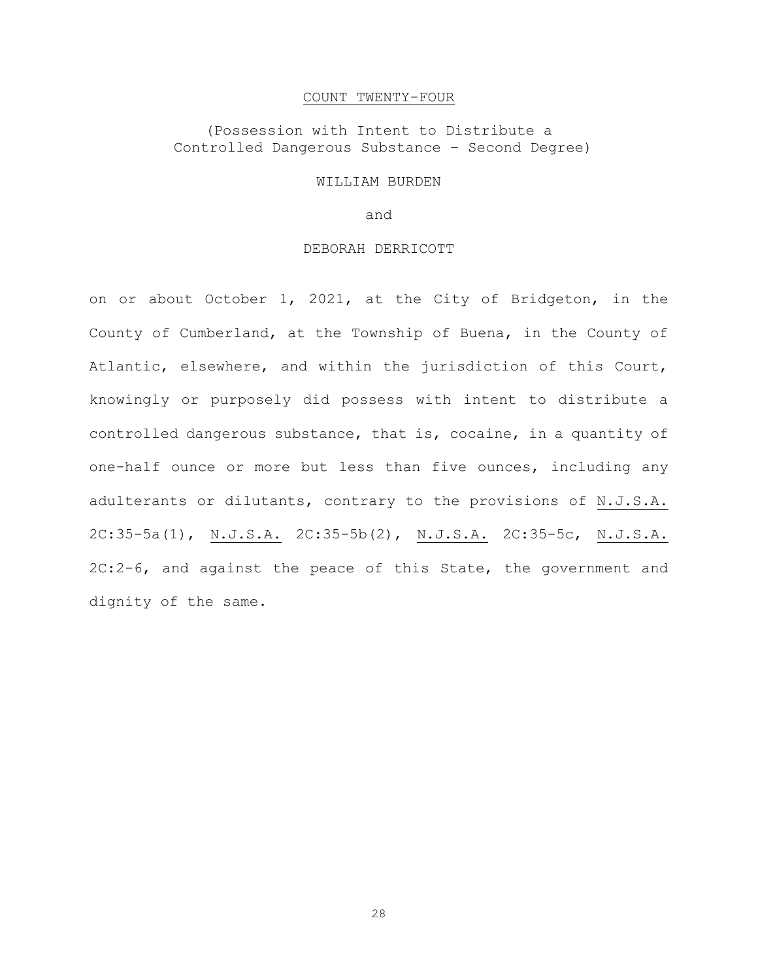#### COUNT TWENTY-FOUR

# (Possession with Intent to Distribute a Controlled Dangerous Substance – Second Degree)

#### WILLIAM BURDEN

and

#### DEBORAH DERRICOTT

on or about October 1, 2021, at the City of Bridgeton, in the County of Cumberland, at the Township of Buena, in the County of Atlantic, elsewhere, and within the jurisdiction of this Court, knowingly or purposely did possess with intent to distribute a controlled dangerous substance, that is, cocaine, in a quantity of one-half ounce or more but less than five ounces, including any adulterants or dilutants, contrary to the provisions of N.J.S.A. 2C:35-5a(1), N.J.S.A. 2C:35-5b(2), N.J.S.A. 2C:35-5c, N.J.S.A. 2C:2-6, and against the peace of this State, the government and dignity of the same.

28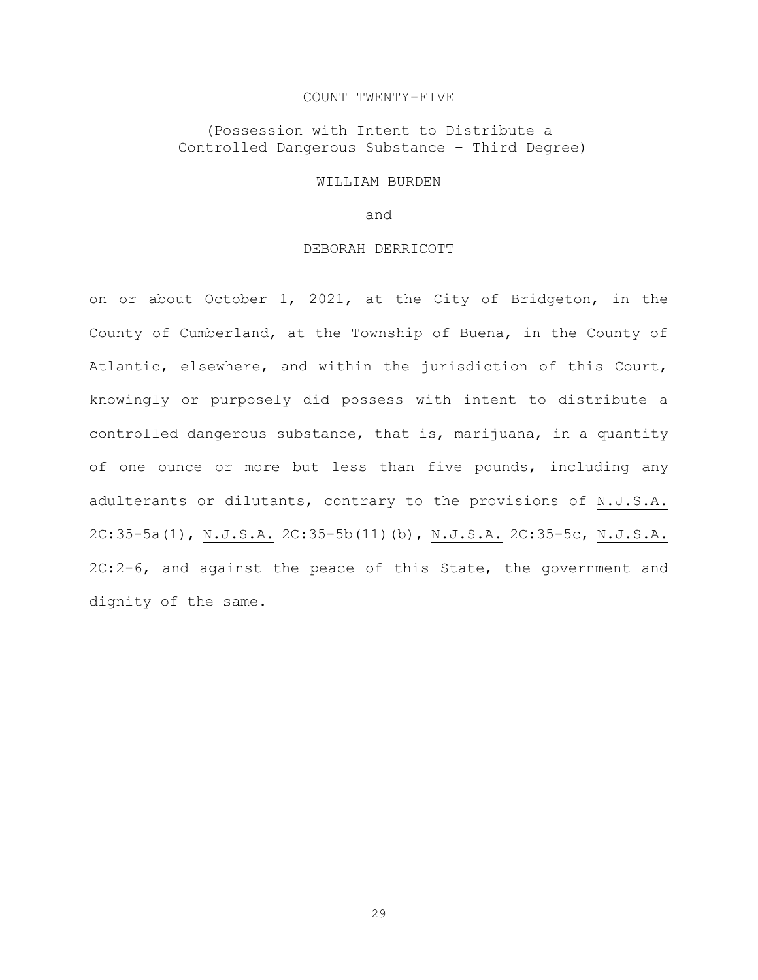#### COUNT TWENTY-FIVE

# (Possession with Intent to Distribute a Controlled Dangerous Substance – Third Degree)

#### WILLIAM BURDEN

and

#### DEBORAH DERRICOTT

on or about October 1, 2021, at the City of Bridgeton, in the County of Cumberland, at the Township of Buena, in the County of Atlantic, elsewhere, and within the jurisdiction of this Court, knowingly or purposely did possess with intent to distribute a controlled dangerous substance, that is, marijuana, in a quantity of one ounce or more but less than five pounds, including any adulterants or dilutants, contrary to the provisions of N.J.S.A. 2C:35-5a(1), N.J.S.A. 2C:35-5b(11)(b), N.J.S.A. 2C:35-5c, N.J.S.A. 2C:2-6, and against the peace of this State, the government and dignity of the same.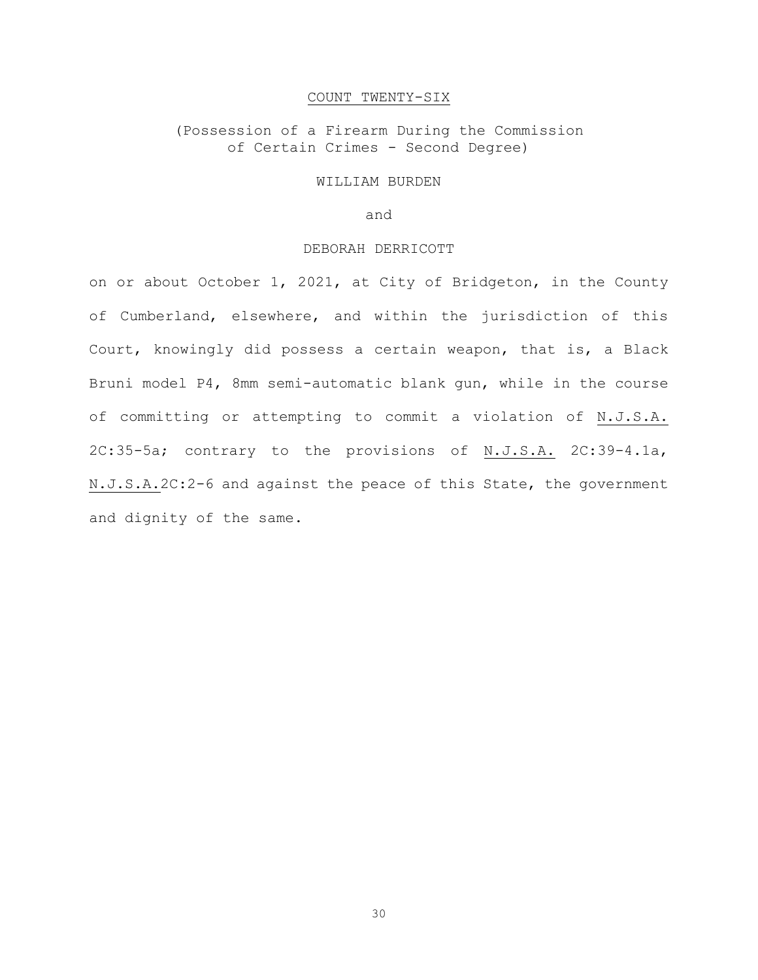# COUNT TWENTY-SIX

(Possession of a Firearm During the Commission of Certain Crimes - Second Degree)

#### WILLIAM BURDEN

and

# DEBORAH DERRICOTT

on or about October 1, 2021, at City of Bridgeton, in the County of Cumberland, elsewhere, and within the jurisdiction of this Court, knowingly did possess a certain weapon, that is, a Black Bruni model P4, 8mm semi-automatic blank gun, while in the course of committing or attempting to commit a violation of N.J.S.A. 2C:35-5a; contrary to the provisions of N.J.S.A. 2C:39-4.1a, N.J.S.A.2C:2-6 and against the peace of this State, the government and dignity of the same.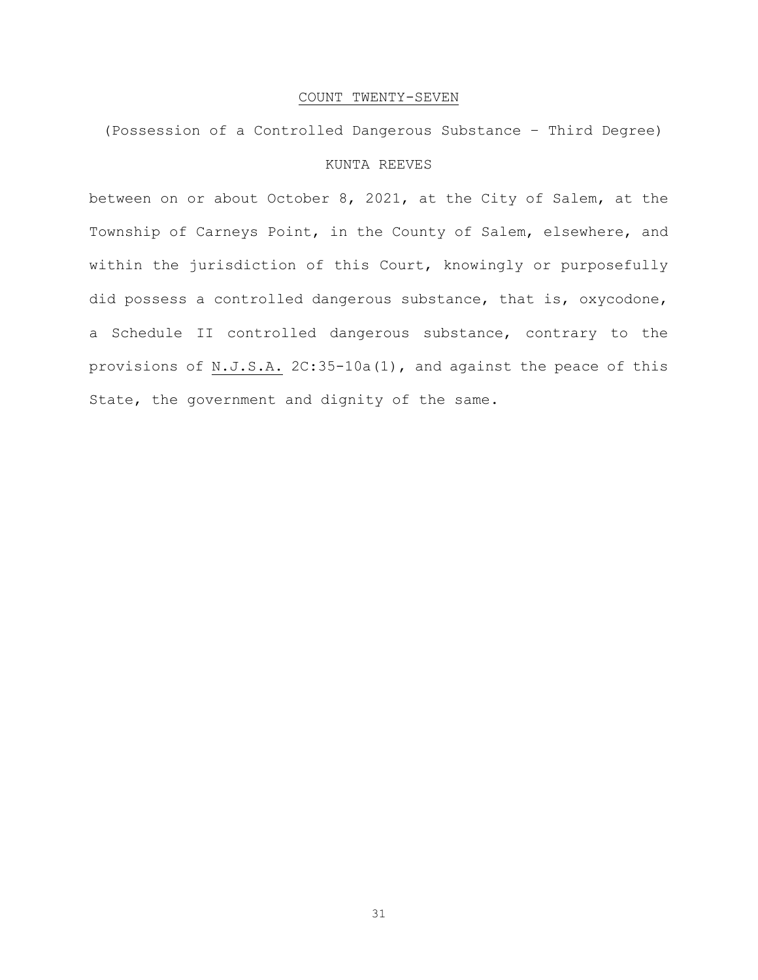#### COUNT TWENTY-SEVEN

(Possession of a Controlled Dangerous Substance – Third Degree) KUNTA REEVES

between on or about October 8, 2021, at the City of Salem, at the Township of Carneys Point, in the County of Salem, elsewhere, and within the jurisdiction of this Court, knowingly or purposefully did possess a controlled dangerous substance, that is, oxycodone, a Schedule II controlled dangerous substance, contrary to the provisions of N.J.S.A. 2C:35-10a(1), and against the peace of this State, the government and dignity of the same.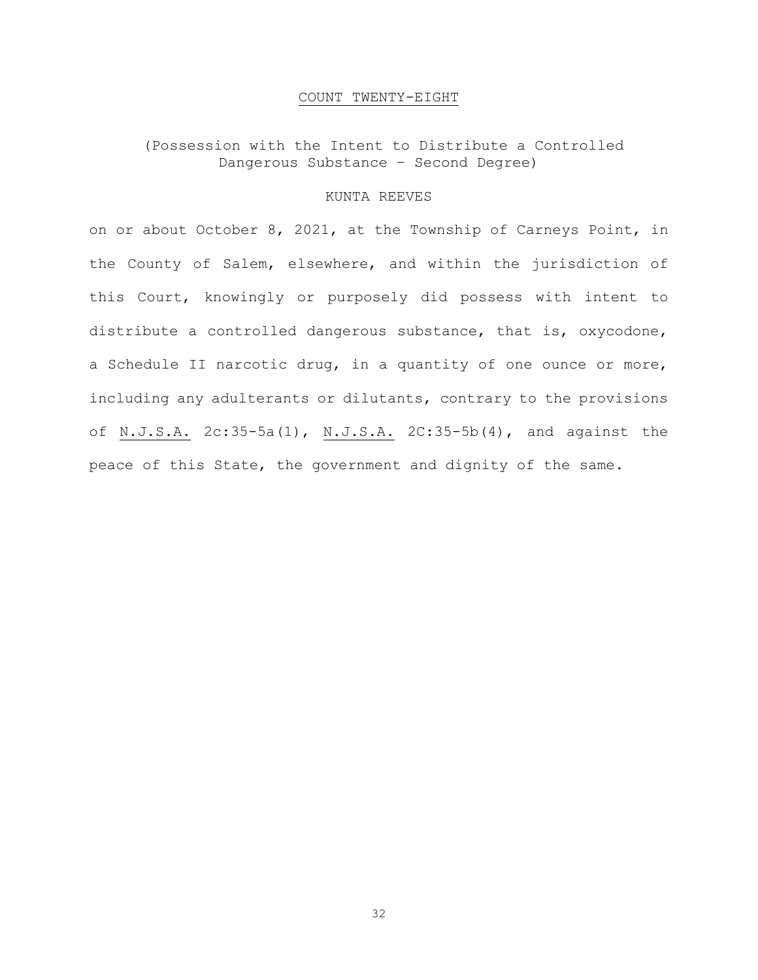# COUNT TWENTY-EIGHT

# (Possession with the Intent to Distribute a Controlled Dangerous Substance – Second Degree)

### KUNTA REEVES

on or about October 8, 2021, at the Township of Carneys Point, in the County of Salem, elsewhere, and within the jurisdiction of this Court, knowingly or purposely did possess with intent to distribute a controlled dangerous substance, that is, oxycodone, a Schedule II narcotic drug, in a quantity of one ounce or more, including any adulterants or dilutants, contrary to the provisions of N.J.S.A. 2c:35-5a(1), N.J.S.A. 2C:35-5b(4), and against the peace of this State, the government and dignity of the same.

32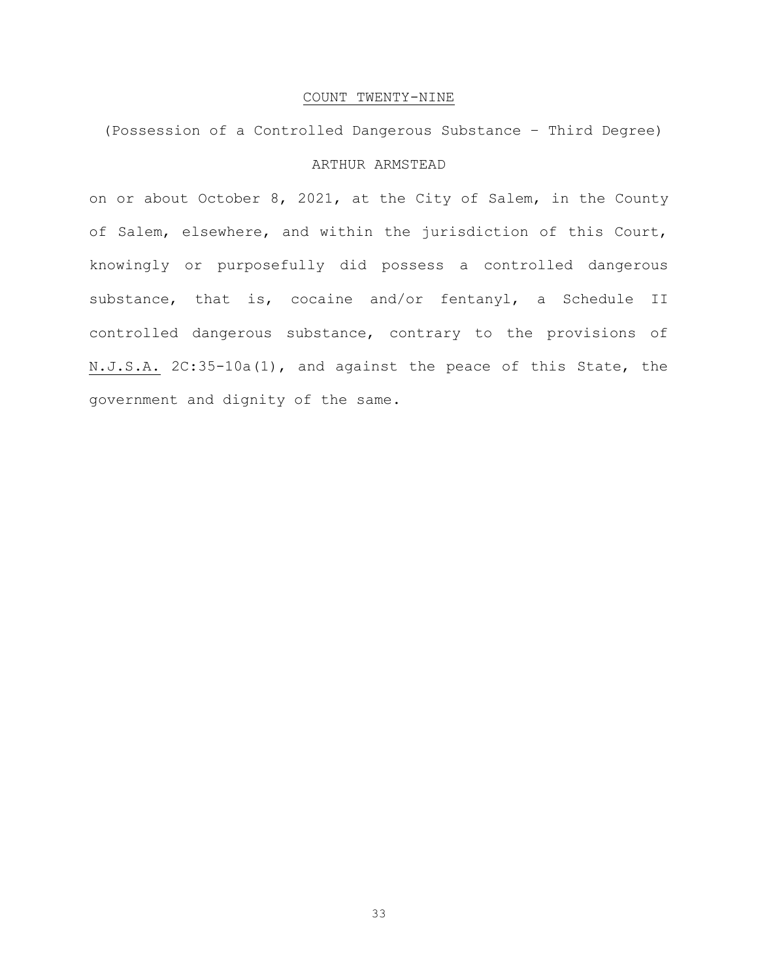# COUNT TWENTY-NINE

(Possession of a Controlled Dangerous Substance – Third Degree) ARTHUR ARMSTEAD

on or about October 8, 2021, at the City of Salem, in the County of Salem, elsewhere, and within the jurisdiction of this Court, knowingly or purposefully did possess a controlled dangerous substance, that is, cocaine and/or fentanyl, a Schedule II controlled dangerous substance, contrary to the provisions of N.J.S.A. 2C:35-10a(1), and against the peace of this State, the government and dignity of the same.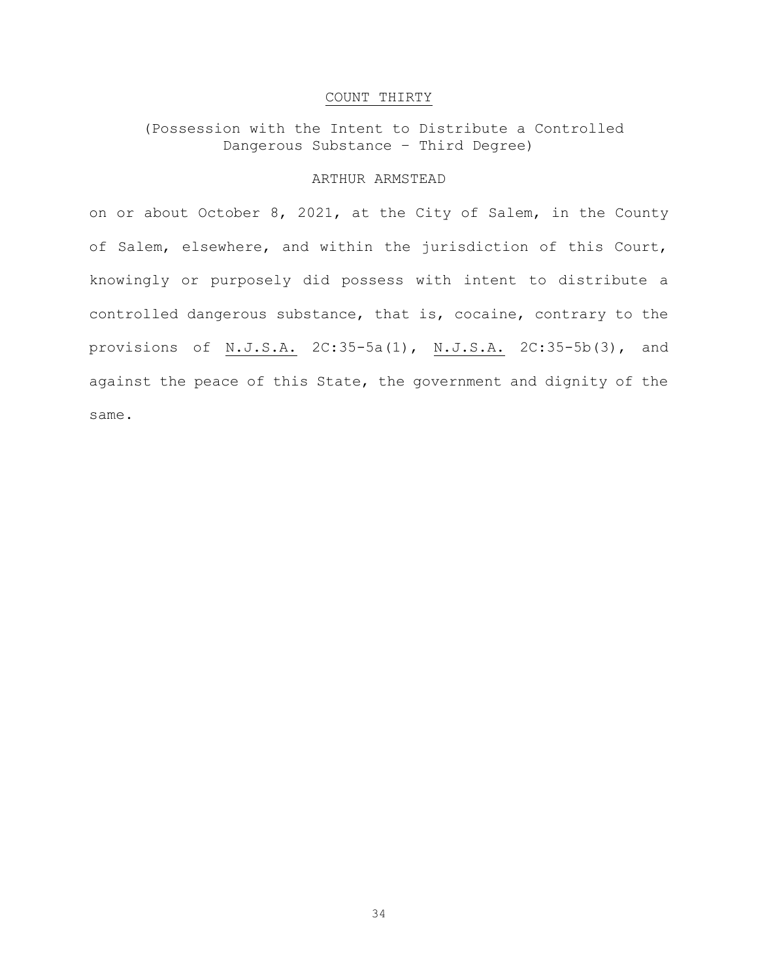# COUNT THIRTY

(Possession with the Intent to Distribute a Controlled Dangerous Substance – Third Degree)

# ARTHUR ARMSTEAD

on or about October 8, 2021, at the City of Salem, in the County of Salem, elsewhere, and within the jurisdiction of this Court, knowingly or purposely did possess with intent to distribute a controlled dangerous substance, that is, cocaine, contrary to the provisions of N.J.S.A. 2C:35-5a(1), N.J.S.A. 2C:35-5b(3), and against the peace of this State, the government and dignity of the same.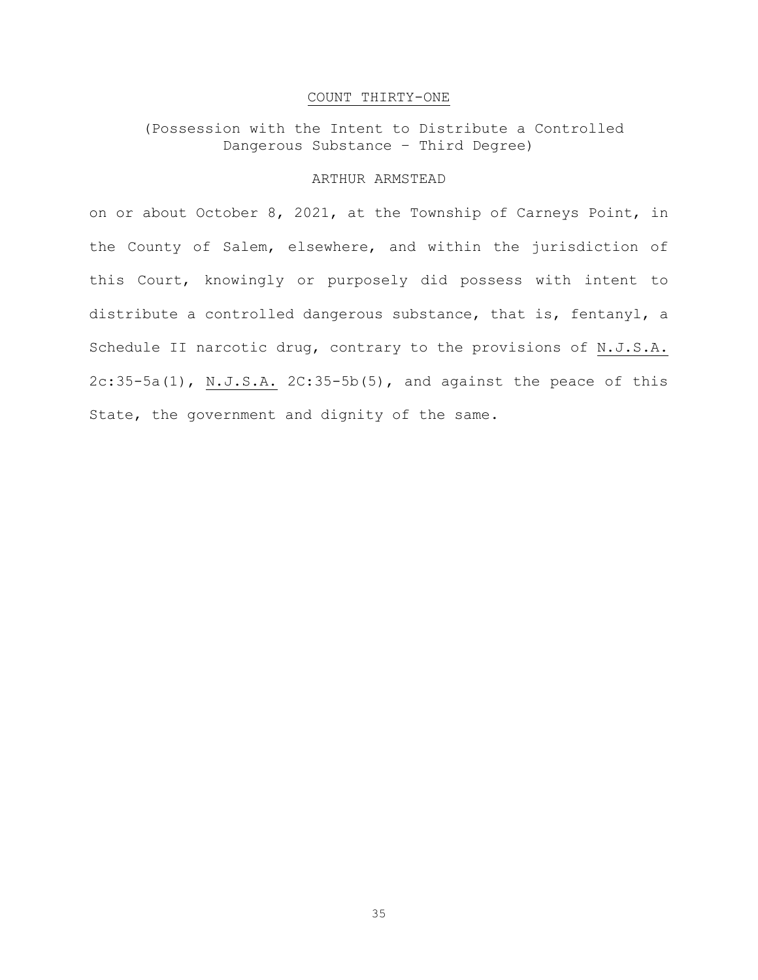# COUNT THIRTY-ONE

(Possession with the Intent to Distribute a Controlled Dangerous Substance – Third Degree)

# ARTHUR ARMSTEAD

on or about October 8, 2021, at the Township of Carneys Point, in the County of Salem, elsewhere, and within the jurisdiction of this Court, knowingly or purposely did possess with intent to distribute a controlled dangerous substance, that is, fentanyl, a Schedule II narcotic drug, contrary to the provisions of N.J.S.A. 2c:35-5a(1), N.J.S.A. 2C:35-5b(5), and against the peace of this State, the government and dignity of the same.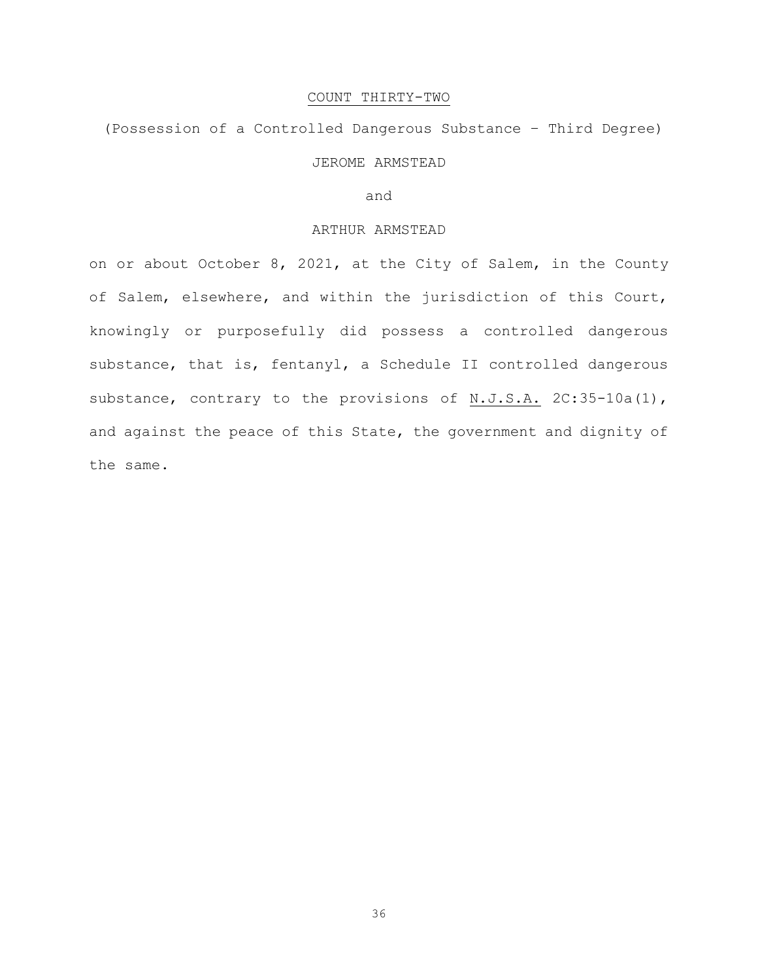#### COUNT THIRTY-TWO

(Possession of a Controlled Dangerous Substance – Third Degree) JEROME ARMSTEAD

and

#### ARTHUR ARMSTEAD

on or about October 8, 2021, at the City of Salem, in the County of Salem, elsewhere, and within the jurisdiction of this Court, knowingly or purposefully did possess a controlled dangerous substance, that is, fentanyl, a Schedule II controlled dangerous substance, contrary to the provisions of N.J.S.A. 2C:35-10a(1), and against the peace of this State, the government and dignity of the same.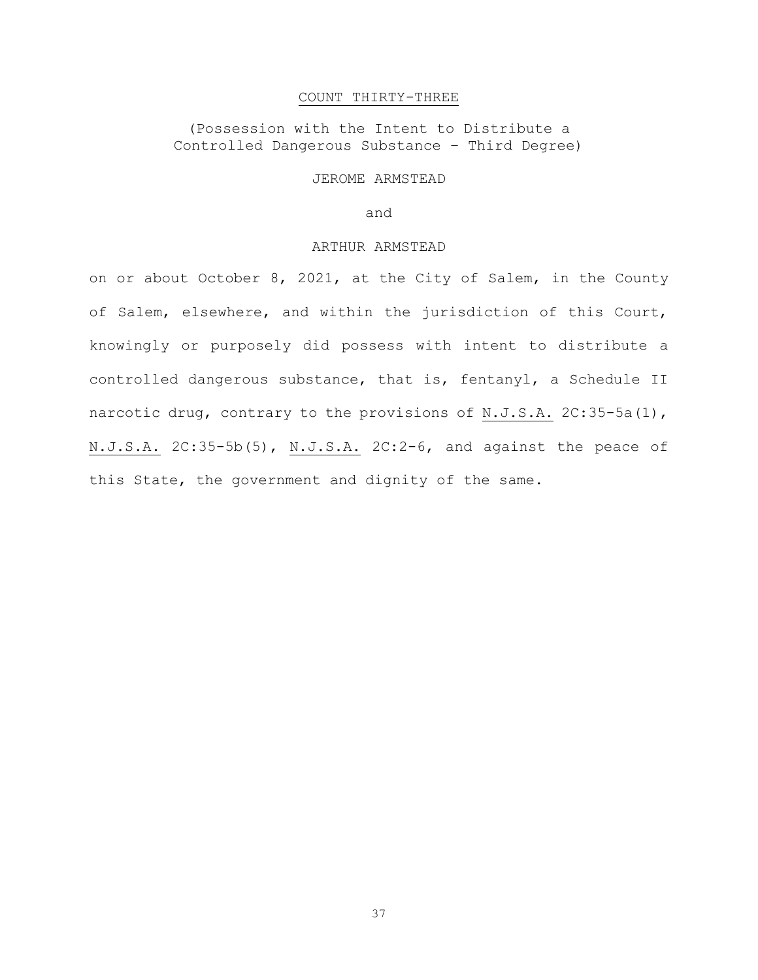#### COUNT THIRTY-THREE

(Possession with the Intent to Distribute a Controlled Dangerous Substance – Third Degree)

#### JEROME ARMSTEAD

and

#### ARTHUR ARMSTEAD

on or about October 8, 2021, at the City of Salem, in the County of Salem, elsewhere, and within the jurisdiction of this Court, knowingly or purposely did possess with intent to distribute a controlled dangerous substance, that is, fentanyl, a Schedule II narcotic drug, contrary to the provisions of N.J.S.A. 2C:35-5a(1), N.J.S.A. 2C:35-5b(5), N.J.S.A. 2C:2-6, and against the peace of this State, the government and dignity of the same.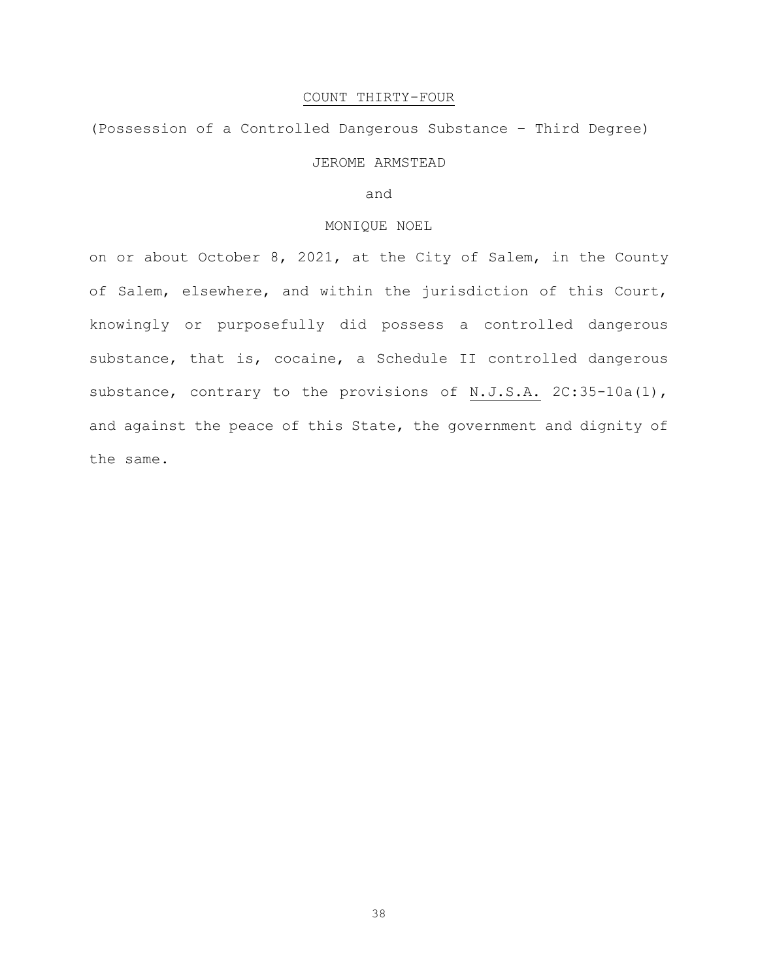# COUNT THIRTY-FOUR

(Possession of a Controlled Dangerous Substance – Third Degree)

# JEROME ARMSTEAD

and

# MONIQUE NOEL

on or about October 8, 2021, at the City of Salem, in the County of Salem, elsewhere, and within the jurisdiction of this Court, knowingly or purposefully did possess a controlled dangerous substance, that is, cocaine, a Schedule II controlled dangerous substance, contrary to the provisions of N.J.S.A. 2C:35-10a(1), and against the peace of this State, the government and dignity of the same.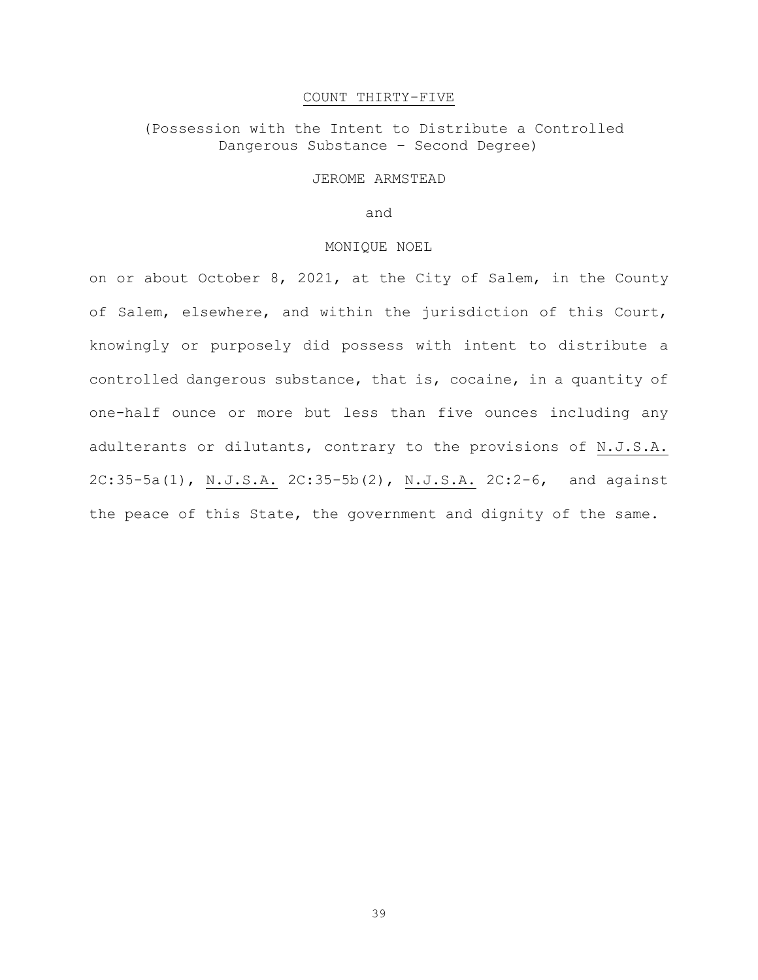#### COUNT THIRTY-FIVE

# (Possession with the Intent to Distribute a Controlled Dangerous Substance – Second Degree)

#### JEROME ARMSTEAD

#### and

#### MONIQUE NOEL

on or about October 8, 2021, at the City of Salem, in the County of Salem, elsewhere, and within the jurisdiction of this Court, knowingly or purposely did possess with intent to distribute a controlled dangerous substance, that is, cocaine, in a quantity of one-half ounce or more but less than five ounces including any adulterants or dilutants, contrary to the provisions of N.J.S.A. 2C:35-5a(1), N.J.S.A. 2C:35-5b(2), N.J.S.A. 2C:2-6, and against the peace of this State, the government and dignity of the same.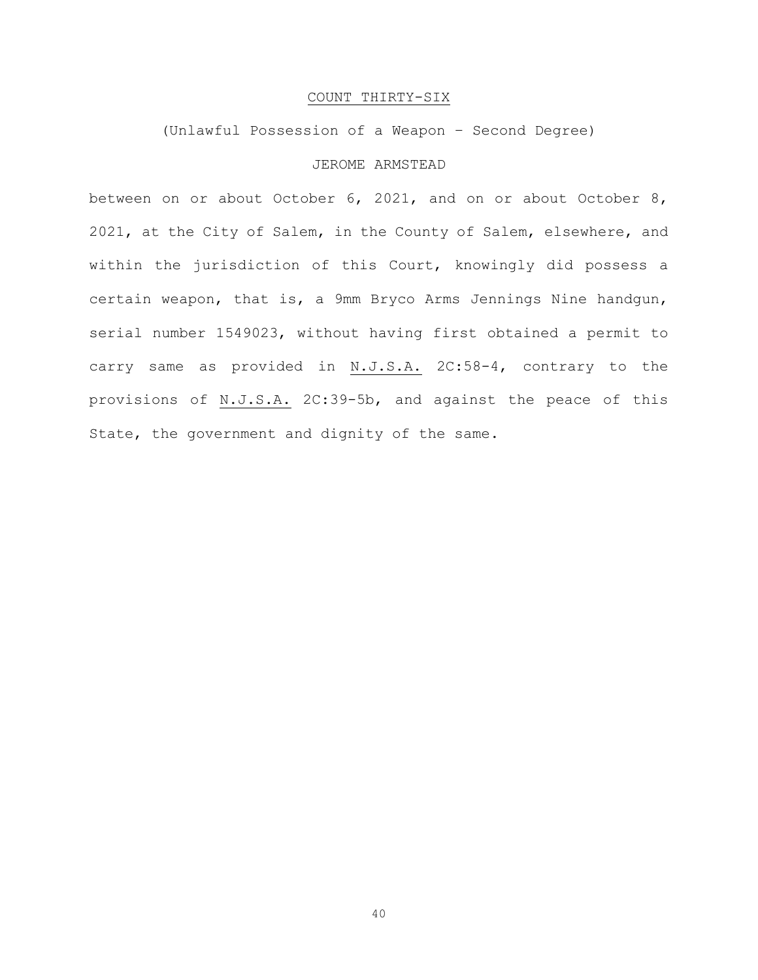# COUNT THIRTY-SIX

# (Unlawful Possession of a Weapon – Second Degree)

# JEROME ARMSTEAD

between on or about October 6, 2021, and on or about October 8, 2021, at the City of Salem, in the County of Salem, elsewhere, and within the jurisdiction of this Court, knowingly did possess a certain weapon, that is, a 9mm Bryco Arms Jennings Nine handgun, serial number 1549023, without having first obtained a permit to carry same as provided in N.J.S.A. 2C:58-4, contrary to the provisions of N.J.S.A. 2C:39-5b, and against the peace of this State, the government and dignity of the same.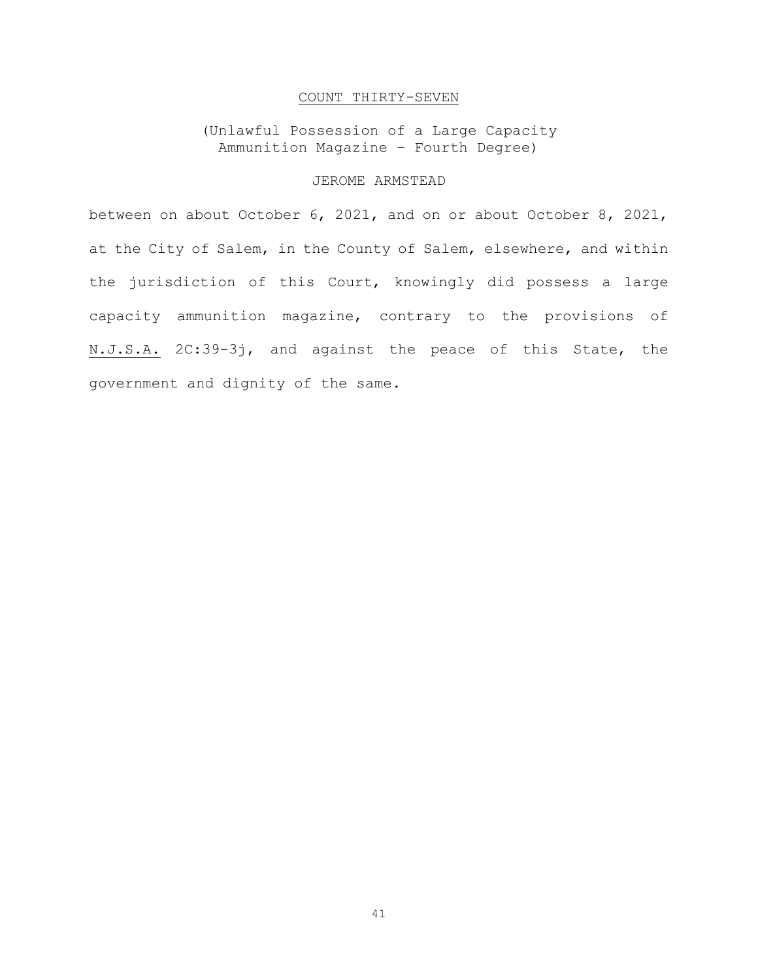# COUNT THIRTY-SEVEN

(Unlawful Possession of a Large Capacity Ammunition Magazine – Fourth Degree)

# JEROME ARMSTEAD

between on about October 6, 2021, and on or about October 8, 2021, at the City of Salem, in the County of Salem, elsewhere, and within the jurisdiction of this Court, knowingly did possess a large capacity ammunition magazine, contrary to the provisions of N.J.S.A. 2C:39-3j, and against the peace of this State, the government and dignity of the same.